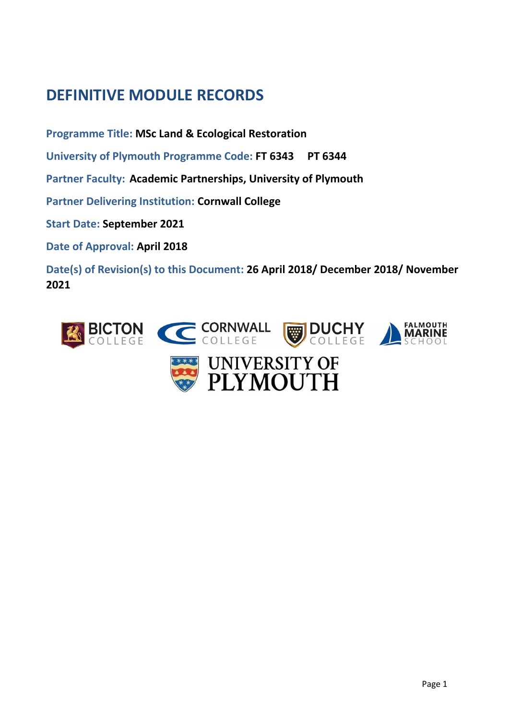# **DEFINITIVE MODULE RECORDS**

**Programme Title: MSc Land & Ecological Restoration**

**University of Plymouth Programme Code: FT 6343 PT 6344**

**Partner Faculty: Academic Partnerships, University of Plymouth**

**Partner Delivering Institution: Cornwall College**

**Start Date: September 2021**

**Date of Approval: April 2018**

**Date(s) of Revision(s) to this Document: 26 April 2018/ December 2018/ November 2021**



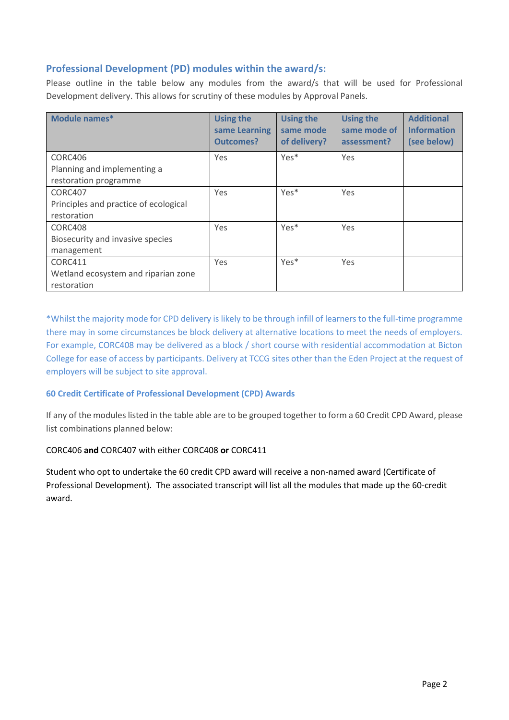# **Professional Development (PD) modules within the award/s:**

Please outline in the table below any modules from the award/s that will be used for Professional Development delivery. This allows for scrutiny of these modules by Approval Panels.

| Module names*                         | <b>Using the</b><br>same Learning<br>Outcomes? | <b>Using the</b><br>same mode<br>of delivery? | <b>Using the</b><br>same mode of<br>assessment? | <b>Additional</b><br><b>Information</b><br>(see below) |
|---------------------------------------|------------------------------------------------|-----------------------------------------------|-------------------------------------------------|--------------------------------------------------------|
| CORC406                               | Yes                                            | Yes*                                          | Yes                                             |                                                        |
| Planning and implementing a           |                                                |                                               |                                                 |                                                        |
| restoration programme                 |                                                |                                               |                                                 |                                                        |
| <b>CORC407</b>                        | Yes                                            | Yes*                                          | Yes                                             |                                                        |
| Principles and practice of ecological |                                                |                                               |                                                 |                                                        |
| restoration                           |                                                |                                               |                                                 |                                                        |
| CORC408                               | <b>Yes</b>                                     | Yes*                                          | Yes                                             |                                                        |
| Biosecurity and invasive species      |                                                |                                               |                                                 |                                                        |
| management                            |                                                |                                               |                                                 |                                                        |
| CORC411                               | Yes                                            | Yes*                                          | Yes                                             |                                                        |
| Wetland ecosystem and riparian zone   |                                                |                                               |                                                 |                                                        |
| restoration                           |                                                |                                               |                                                 |                                                        |

\*Whilst the majority mode for CPD delivery is likely to be through infill of learners to the full-time programme there may in some circumstances be block delivery at alternative locations to meet the needs of employers. For example, CORC408 may be delivered as a block / short course with residential accommodation at Bicton College for ease of access by participants. Delivery at TCCG sites other than the Eden Project at the request of employers will be subject to site approval.

#### **60 Credit Certificate of Professional Development (CPD) Awards**

If any of the modules listed in the table able are to be grouped together to form a 60 Credit CPD Award, please list combinations planned below:

#### CORC406 **and** CORC407 with either CORC408 **or** CORC411

Student who opt to undertake the 60 credit CPD award will receive a non-named award (Certificate of Professional Development). The associated transcript will list all the modules that made up the 60-credit award.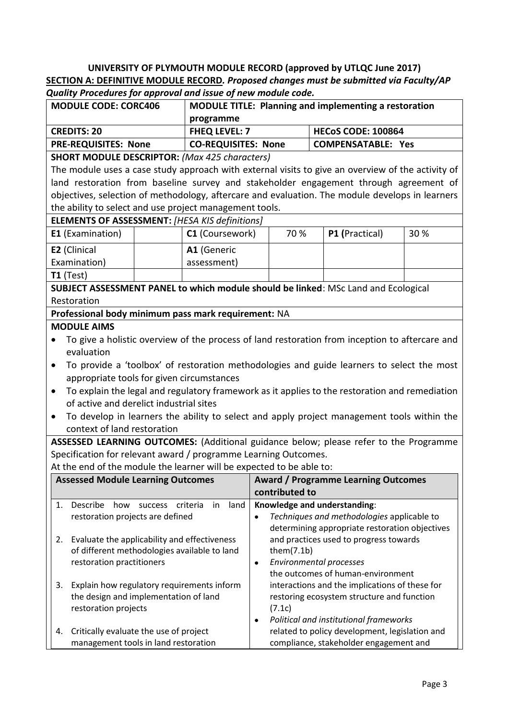| <b>MODULE CODE: CORC406</b> | <b>MODULE TITLE: Planning and implementing a restoration</b> |                           |  |
|-----------------------------|--------------------------------------------------------------|---------------------------|--|
|                             | programme                                                    |                           |  |
| <b>CREDITS: 20</b>          | <b>FHEQ LEVEL: 7</b>                                         | <b>HECoS CODE: 100864</b> |  |
| <b>PRE-REQUISITES: None</b> | <b>CO-REQUISITES: None</b>                                   | <b>COMPENSATABLE: Yes</b> |  |
|                             |                                                              |                           |  |

**SHORT MODULE DESCRIPTOR:** *(Max 425 characters)*

The module uses a case study approach with external visits to give an overview of the activity of land restoration from baseline survey and stakeholder engagement through agreement of objectives, selection of methodology, aftercare and evaluation. The module develops in learners the ability to select and use project management tools.

#### **ELEMENTS OF ASSESSMENT:** *[HESA KIS definitions]*

| $\begin{array}{c} \texttt{LLE}(\texttt{VCE}, \texttt{VCE}, \texttt{VCE}, \texttt{VCE}, \texttt{VCE}, \texttt{VSE}, \texttt{VSE}, \texttt{VSE}, \texttt{VSE}, \texttt{VSE}, \texttt{VSE}, \texttt{VSE}, \texttt{VSE}, \texttt{VSE}, \texttt{VSE}, \texttt{VSE}, \texttt{VSE}, \texttt{VSE}, \texttt{VSE}, \texttt{VSE}, \texttt{VSE}, \texttt{VSE}, \texttt{VSE}, \texttt{VSE}, \texttt{VSE}, \texttt{VSE}, \texttt{VSE}, \texttt{VSE}, \texttt{VSE}, \texttt$ |  |                 |      |                |      |
|---------------------------------------------------------------------------------------------------------------------------------------------------------------------------------------------------------------------------------------------------------------------------------------------------------------------------------------------------------------------------------------------------------------------------------------------------------------|--|-----------------|------|----------------|------|
| <b>E1</b> (Examination)                                                                                                                                                                                                                                                                                                                                                                                                                                       |  | C1 (Coursework) | 70 % | P1 (Practical) | 30 % |
| <b>E2</b> (Clinical                                                                                                                                                                                                                                                                                                                                                                                                                                           |  | A1 (Generic     |      |                |      |
| Examination)                                                                                                                                                                                                                                                                                                                                                                                                                                                  |  | assessment)     |      |                |      |
| $T1$ (Test)                                                                                                                                                                                                                                                                                                                                                                                                                                                   |  |                 |      |                |      |

**SUBJECT ASSESSMENT PANEL to which module should be linked**: MSc Land and Ecological Restoration

**Professional body minimum pass mark requirement:** NA

#### **MODULE AIMS**

- To give a holistic overview of the process of land restoration from inception to aftercare and evaluation
- To provide a 'toolbox' of restoration methodologies and guide learners to select the most appropriate tools for given circumstances
- To explain the legal and regulatory framework as it applies to the restoration and remediation of active and derelict industrial sites
- To develop in learners the ability to select and apply project management tools within the context of land restoration

**ASSESSED LEARNING OUTCOMES:** (Additional guidance below; please refer to the Programme Specification for relevant award / programme Learning Outcomes.

|    | <b>Assessed Module Learning Outcomes</b>                                                                                  | <b>Award / Programme Learning Outcomes</b><br>contributed to                                                                                          |
|----|---------------------------------------------------------------------------------------------------------------------------|-------------------------------------------------------------------------------------------------------------------------------------------------------|
| 1. | <b>Describe</b><br>criteria<br>land<br>how<br><b>SUCCESS</b><br>in.<br>restoration projects are defined                   | Knowledge and understanding:<br>Techniques and methodologies applicable to<br>$\bullet$<br>determining appropriate restoration objectives             |
| 2. | Evaluate the applicability and effectiveness<br>of different methodologies available to land<br>restoration practitioners | and practices used to progress towards<br>them $(7.1b)$<br><b>Environmental processes</b><br>٠<br>the outcomes of human-environment                   |
| 3. | Explain how regulatory requirements inform<br>the design and implementation of land<br>restoration projects               | interactions and the implications of these for<br>restoring ecosystem structure and function<br>(7.1c)<br>Political and institutional frameworks<br>٠ |
| 4. | Critically evaluate the use of project<br>management tools in land restoration                                            | related to policy development, legislation and<br>compliance, stakeholder engagement and                                                              |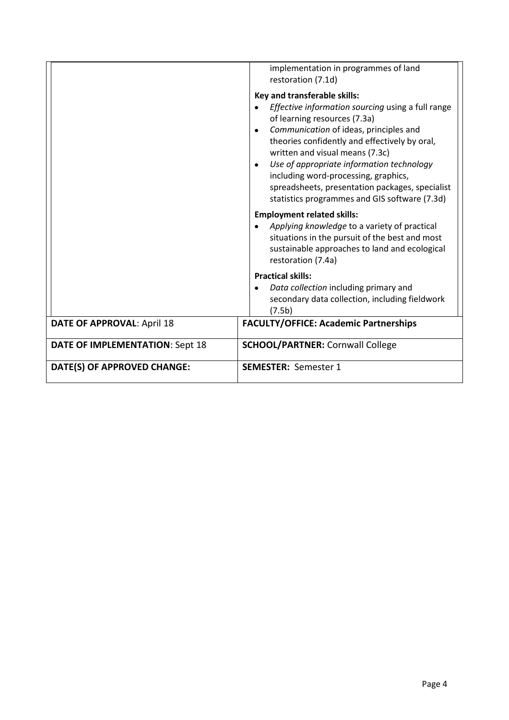|                                        | implementation in programmes of land<br>restoration (7.1d)<br>Key and transferable skills:<br>Effective information sourcing using a full range<br>of learning resources (7.3a)<br>Communication of ideas, principles and<br>$\bullet$<br>theories confidently and effectively by oral,<br>written and visual means (7.3c)<br>Use of appropriate information technology<br>$\bullet$<br>including word-processing, graphics,<br>spreadsheets, presentation packages, specialist<br>statistics programmes and GIS software (7.3d)<br><b>Employment related skills:</b><br>Applying knowledge to a variety of practical |  |
|----------------------------------------|-----------------------------------------------------------------------------------------------------------------------------------------------------------------------------------------------------------------------------------------------------------------------------------------------------------------------------------------------------------------------------------------------------------------------------------------------------------------------------------------------------------------------------------------------------------------------------------------------------------------------|--|
|                                        | situations in the pursuit of the best and most<br>sustainable approaches to land and ecological<br>restoration (7.4a)<br><b>Practical skills:</b><br>Data collection including primary and<br>secondary data collection, including fieldwork<br>(7.5b)                                                                                                                                                                                                                                                                                                                                                                |  |
| <b>DATE OF APPROVAL: April 18</b>      | <b>FACULTY/OFFICE: Academic Partnerships</b>                                                                                                                                                                                                                                                                                                                                                                                                                                                                                                                                                                          |  |
| <b>DATE OF IMPLEMENTATION: Sept 18</b> | <b>SCHOOL/PARTNER: Cornwall College</b>                                                                                                                                                                                                                                                                                                                                                                                                                                                                                                                                                                               |  |
| DATE(S) OF APPROVED CHANGE:            | <b>SEMESTER: Semester 1</b>                                                                                                                                                                                                                                                                                                                                                                                                                                                                                                                                                                                           |  |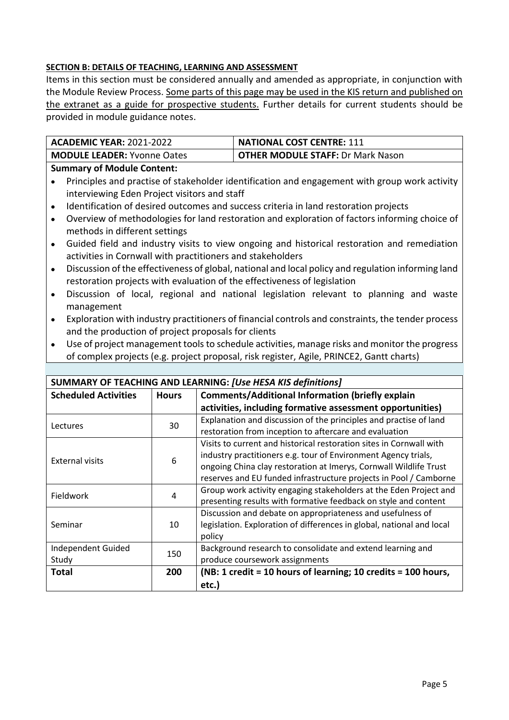Items in this section must be considered annually and amended as appropriate, in conjunction with the Module Review Process. Some parts of this page may be used in the KIS return and published on the extranet as a guide for prospective students. Further details for current students should be provided in module guidance notes.

| ACADEMIC YEAR: 2021-2022    | <b>NATIONAL COST CENTRE: 111</b>         |
|-----------------------------|------------------------------------------|
| MODULE LEADER: Yvonne Oates | <b>OTHER MODULE STAFF: Dr Mark Nason</b> |

### **Summary of Module Content:**

- Principles and practise of stakeholder identification and engagement with group work activity interviewing Eden Project visitors and staff
- Identification of desired outcomes and success criteria in land restoration projects
- Overview of methodologies for land restoration and exploration of factors informing choice of methods in different settings
- Guided field and industry visits to view ongoing and historical restoration and remediation activities in Cornwall with practitioners and stakeholders
- Discussion of the effectiveness of global, national and local policy and regulation informing land restoration projects with evaluation of the effectiveness of legislation
- Discussion of local, regional and national legislation relevant to planning and waste management
- Exploration with industry practitioners of financial controls and constraints, the tender process and the production of project proposals for clients
- Use of project management tools to schedule activities, manage risks and monitor the progress of complex projects (e.g. project proposal, risk register, Agile, PRINCE2, Gantt charts)

| SUMMARY OF TEACHING AND LEARNING: [Use HESA KIS definitions] |              |                                                                       |  |  |
|--------------------------------------------------------------|--------------|-----------------------------------------------------------------------|--|--|
| <b>Scheduled Activities</b>                                  | <b>Hours</b> | <b>Comments/Additional Information (briefly explain</b>               |  |  |
|                                                              |              | activities, including formative assessment opportunities)             |  |  |
| Lectures                                                     | 30           | Explanation and discussion of the principles and practise of land     |  |  |
|                                                              |              | restoration from inception to aftercare and evaluation                |  |  |
|                                                              |              | Visits to current and historical restoration sites in Cornwall with   |  |  |
| <b>External visits</b>                                       | 6            | industry practitioners e.g. tour of Environment Agency trials,        |  |  |
|                                                              |              | ongoing China clay restoration at Imerys, Cornwall Wildlife Trust     |  |  |
|                                                              |              | reserves and EU funded infrastructure projects in Pool / Camborne     |  |  |
| Fieldwork<br>4                                               |              | Group work activity engaging stakeholders at the Eden Project and     |  |  |
|                                                              |              | presenting results with formative feedback on style and content       |  |  |
|                                                              |              | Discussion and debate on appropriateness and usefulness of            |  |  |
| Seminar                                                      | 10           | legislation. Exploration of differences in global, national and local |  |  |
|                                                              |              | policy                                                                |  |  |
| Independent Guided                                           | 150          | Background research to consolidate and extend learning and            |  |  |
| Study                                                        |              | produce coursework assignments                                        |  |  |
| <b>Total</b>                                                 | 200          | (NB: 1 credit = 10 hours of learning; 10 credits = 100 hours,         |  |  |
|                                                              |              | etc.)                                                                 |  |  |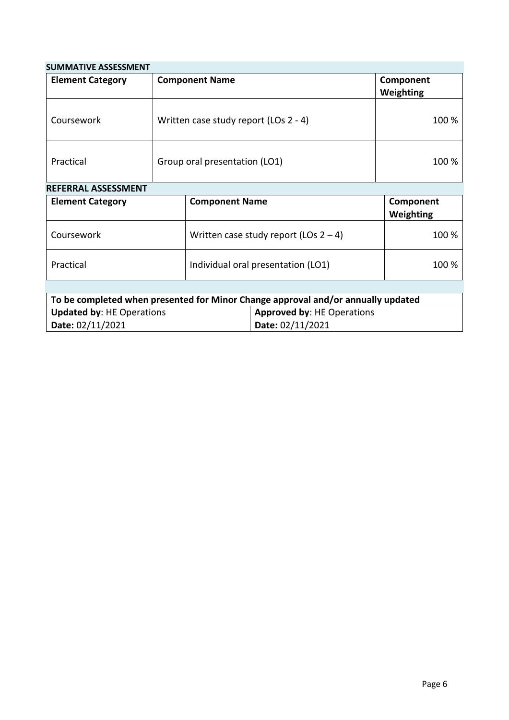# **SUMMATIVE ASSESSMENT**

| <b>Element Category</b> | <b>Component Name</b>                 | Component<br>Weighting |
|-------------------------|---------------------------------------|------------------------|
| Coursework              | Written case study report (LOs 2 - 4) | 100 %                  |
| Practical               | Group oral presentation (LO1)         | 100 %                  |

# **REFERRAL ASSESSMENT**

| <b>Element Category</b> | <b>Component Name</b>                    | Component<br>Weighting |
|-------------------------|------------------------------------------|------------------------|
| Coursework              | Written case study report (LOs $2 - 4$ ) | 100 %                  |
| Practical               | Individual oral presentation (LO1)       | 100 %                  |

| To be completed when presented for Minor Change approval and/or annually updated |                                   |  |  |
|----------------------------------------------------------------------------------|-----------------------------------|--|--|
| <b>Updated by: HE Operations</b>                                                 | <b>Approved by: HE Operations</b> |  |  |
| Date: 02/11/2021                                                                 | Date: 02/11/2021                  |  |  |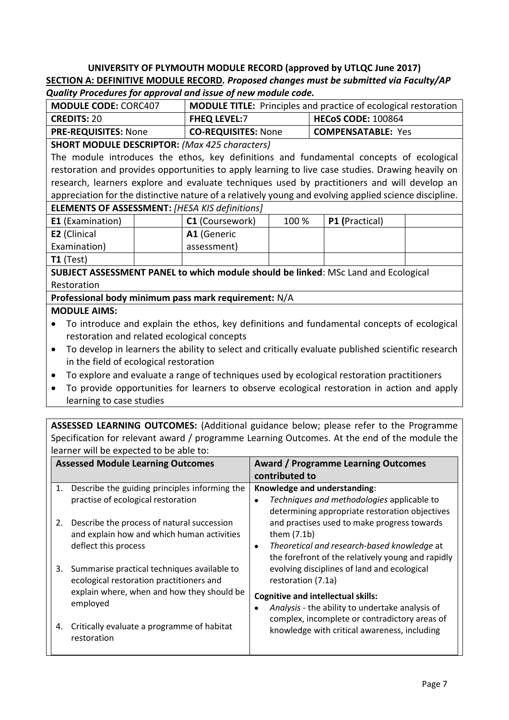| <b>MODULE CODE: CORC407</b> |                     | <b>MODULE TITLE:</b> Principles and practice of ecological restoration |
|-----------------------------|---------------------|------------------------------------------------------------------------|
| l <b>Credits:</b> 20        | <b>FHEQ LEVEL:7</b> | <b>HECoS CODE: 100864</b>                                              |
| PRE-REQUISITES: None        | CO-REQUISITES: None | <b>COMPENSATABLE: Yes</b>                                              |

#### **SHORT MODULE DESCRIPTOR:** *(Max 425 characters)*

The module introduces the ethos, key definitions and fundamental concepts of ecological restoration and provides opportunities to apply learning to live case studies. Drawing heavily on research, learners explore and evaluate techniques used by practitioners and will develop an appreciation for the distinctive nature of a relatively young and evolving applied science discipline. **ELEMENTS OF ASSESSMENT:** *[HESA KIS definitions]*

| <b>E1</b> (Examination) |  | <b>C1</b> (Coursework) | 100 % | P1 (Practical) |  |
|-------------------------|--|------------------------|-------|----------------|--|
| <b>E2</b> (Clinical     |  | A1 (Generic            |       |                |  |
| Examination)            |  | assessment)            |       |                |  |
| $T1$ (Test)             |  |                        |       |                |  |

**SUBJECT ASSESSMENT PANEL to which module should be linked**: MSc Land and Ecological Restoration

**Professional body minimum pass mark requirement:** N/A

# **MODULE AIMS:**

- To introduce and explain the ethos, key definitions and fundamental concepts of ecological restoration and related ecological concepts
- To develop in learners the ability to select and critically evaluate published scientific research in the field of ecological restoration
- To explore and evaluate a range of techniques used by ecological restoration practitioners
- To provide opportunities for learners to observe ecological restoration in action and apply learning to case studies

**ASSESSED LEARNING OUTCOMES:** (Additional guidance below; please refer to the Programme Specification for relevant award / programme Learning Outcomes. At the end of the module the learner will be expected to be able to:

|    | <b>Assessed Module Learning Outcomes</b>                                                 | <b>Award / Programme Learning Outcomes</b>                                                                     |
|----|------------------------------------------------------------------------------------------|----------------------------------------------------------------------------------------------------------------|
|    |                                                                                          | contributed to                                                                                                 |
| 1. | Describe the guiding principles informing the                                            | Knowledge and understanding:                                                                                   |
|    | practise of ecological restoration                                                       | Techniques and methodologies applicable to                                                                     |
| 2. | Describe the process of natural succession<br>and explain how and which human activities | determining appropriate restoration objectives<br>and practises used to make progress towards<br>them $(7.1b)$ |
|    | deflect this process                                                                     | Theoretical and research-based knowledge at<br>$\bullet$<br>the forefront of the relatively young and rapidly  |
| 3. | Summarise practical techniques available to<br>ecological restoration practitioners and  | evolving disciplines of land and ecological<br>restoration (7.1a)                                              |
|    | explain where, when and how they should be<br>employed                                   | <b>Cognitive and intellectual skills:</b><br>Analysis - the ability to undertake analysis of                   |
| 4. | Critically evaluate a programme of habitat<br>restoration                                | complex, incomplete or contradictory areas of<br>knowledge with critical awareness, including                  |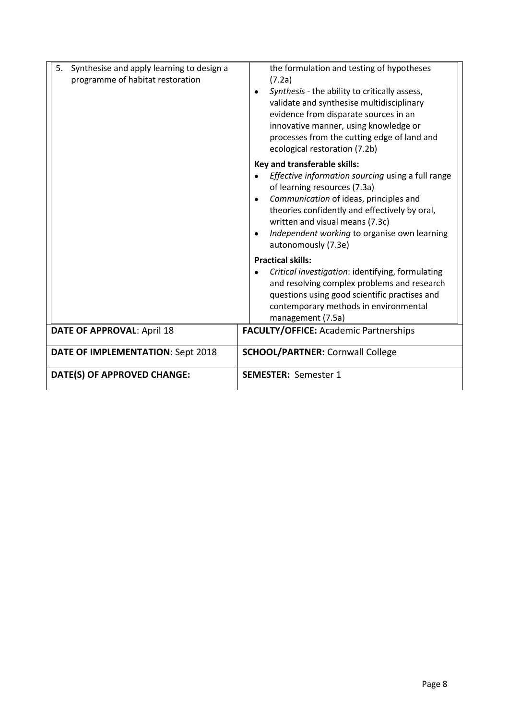| 5.<br>Synthesise and apply learning to design a<br>programme of habitat restoration | the formulation and testing of hypotheses<br>(7.2a)<br>Synthesis - the ability to critically assess,<br>$\bullet$<br>validate and synthesise multidisciplinary<br>evidence from disparate sources in an<br>innovative manner, using knowledge or<br>processes from the cutting edge of land and<br>ecological restoration (7.2b)                 |
|-------------------------------------------------------------------------------------|--------------------------------------------------------------------------------------------------------------------------------------------------------------------------------------------------------------------------------------------------------------------------------------------------------------------------------------------------|
|                                                                                     | Key and transferable skills:<br>Effective information sourcing using a full range<br>of learning resources (7.3a)<br>Communication of ideas, principles and<br>$\bullet$<br>theories confidently and effectively by oral,<br>written and visual means (7.3c)<br>Independent working to organise own learning<br>$\bullet$<br>autonomously (7.3e) |
|                                                                                     | <b>Practical skills:</b><br>Critical investigation: identifying, formulating<br>and resolving complex problems and research<br>questions using good scientific practises and<br>contemporary methods in environmental<br>management (7.5a)                                                                                                       |
| <b>DATE OF APPROVAL: April 18</b>                                                   | <b>FACULTY/OFFICE: Academic Partnerships</b>                                                                                                                                                                                                                                                                                                     |
| DATE OF IMPLEMENTATION: Sept 2018                                                   | <b>SCHOOL/PARTNER: Cornwall College</b>                                                                                                                                                                                                                                                                                                          |
| DATE(S) OF APPROVED CHANGE:                                                         | <b>SEMESTER: Semester 1</b>                                                                                                                                                                                                                                                                                                                      |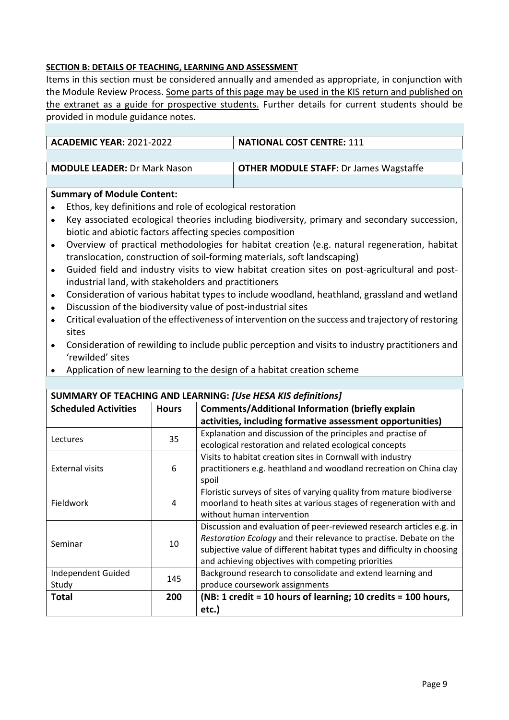Items in this section must be considered annually and amended as appropriate, in conjunction with the Module Review Process. Some parts of this page may be used in the KIS return and published on the extranet as a guide for prospective students. Further details for current students should be provided in module guidance notes.

| <b>ACADEMIC YEAR: 2021-2022</b>                                                                | <b>NATIONAL COST CENTRE: 111</b>              |  |
|------------------------------------------------------------------------------------------------|-----------------------------------------------|--|
|                                                                                                |                                               |  |
| <b>MODULE LEADER: Dr Mark Nason</b>                                                            | <b>OTHER MODULE STAFF: Dr James Wagstaffe</b> |  |
|                                                                                                |                                               |  |
| <b>Summary of Module Content:</b>                                                              |                                               |  |
| Ethos, key definitions and role of ecological restoration                                      |                                               |  |
| Key associated ecological theories including biodiversity, primary and secondary succession,   |                                               |  |
| biotic and abiotic factors affecting species composition                                       |                                               |  |
| Overview of practical methodologies for habitat creation (e.g. natural regeneration, habitat   |                                               |  |
| translocation, construction of soil-forming materials, soft landscaping)                       |                                               |  |
| Guided field and industry visits to view habitat creation sites on post-agricultural and post- |                                               |  |
| industrial land, with stakeholders and practitioners                                           |                                               |  |
| Consideration of various habitat types to include woodland, heathland, grassland and wetland   |                                               |  |
| Discussion of the biodiversity value of post-industrial sites                                  |                                               |  |

- Critical evaluation of the effectiveness of intervention on the success and trajectory of restoring sites
- Consideration of rewilding to include public perception and visits to industry practitioners and 'rewilded' sites
- Application of new learning to the design of a habitat creation scheme

| SUMMARY OF TEACHING AND LEARNING: [Use HESA KIS definitions] |              |                                                                        |  |
|--------------------------------------------------------------|--------------|------------------------------------------------------------------------|--|
| <b>Scheduled Activities</b>                                  | <b>Hours</b> | <b>Comments/Additional Information (briefly explain</b>                |  |
|                                                              |              | activities, including formative assessment opportunities)              |  |
| Lectures                                                     | 35           | Explanation and discussion of the principles and practise of           |  |
|                                                              |              | ecological restoration and related ecological concepts                 |  |
|                                                              |              | Visits to habitat creation sites in Cornwall with industry             |  |
| <b>External visits</b>                                       | 6            | practitioners e.g. heathland and woodland recreation on China clay     |  |
|                                                              |              | spoil                                                                  |  |
|                                                              |              | Floristic surveys of sites of varying quality from mature biodiverse   |  |
| Fieldwork                                                    | 4            | moorland to heath sites at various stages of regeneration with and     |  |
|                                                              |              | without human intervention                                             |  |
|                                                              |              | Discussion and evaluation of peer-reviewed research articles e.g. in   |  |
| Seminar                                                      | 10           | Restoration Ecology and their relevance to practise. Debate on the     |  |
|                                                              |              | subjective value of different habitat types and difficulty in choosing |  |
|                                                              |              | and achieving objectives with competing priorities                     |  |
| Independent Guided                                           | 145          | Background research to consolidate and extend learning and             |  |
| Study                                                        |              | produce coursework assignments                                         |  |
| Total                                                        | 200          | (NB: 1 credit = 10 hours of learning; 10 credits = 100 hours,          |  |
|                                                              |              | etc.)                                                                  |  |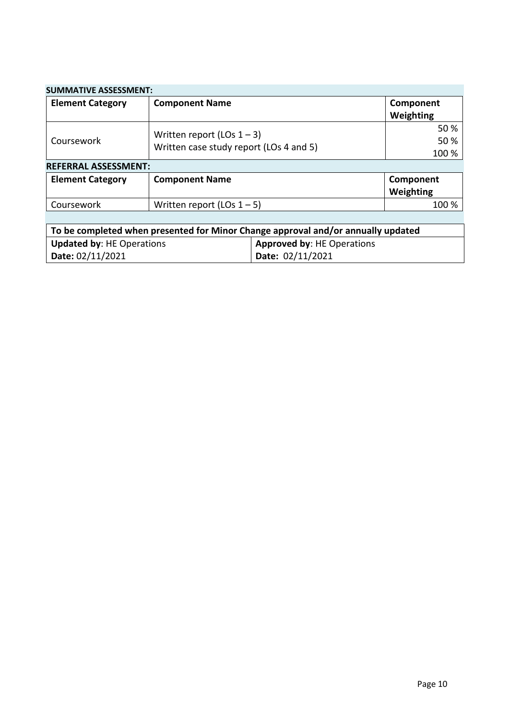| <b>SUMMATIVE ASSESSMENT:</b>                                                     |                                         |                                   |                  |
|----------------------------------------------------------------------------------|-----------------------------------------|-----------------------------------|------------------|
| <b>Element Category</b>                                                          | <b>Component Name</b>                   |                                   | Component        |
|                                                                                  |                                         |                                   | <b>Weighting</b> |
|                                                                                  |                                         |                                   |                  |
| Coursework                                                                       | Written report (LOs $1 - 3$ )           |                                   | 50 %             |
|                                                                                  | Written case study report (LOs 4 and 5) |                                   | 100 %            |
| <b>REFERRAL ASSESSMENT:</b>                                                      |                                         |                                   |                  |
| <b>Element Category</b>                                                          | <b>Component Name</b>                   |                                   | Component        |
|                                                                                  |                                         |                                   | Weighting        |
| Coursework                                                                       | Written report (LOs $1 - 5$ )           |                                   | 100 %            |
|                                                                                  |                                         |                                   |                  |
| To be completed when presented for Minor Change approval and/or annually updated |                                         |                                   |                  |
| <b>Updated by: HE Operations</b>                                                 |                                         | <b>Approved by: HE Operations</b> |                  |

| $\pm$ 10 be completed when presented for Milhor Change approval and/or annually updated $\pm$ |                                   |
|-----------------------------------------------------------------------------------------------|-----------------------------------|
| <b>Updated by: HE Operations</b>                                                              | <b>Approved by: HE Operations</b> |
| Date: 02/11/2021                                                                              | Date: 02/11/2021                  |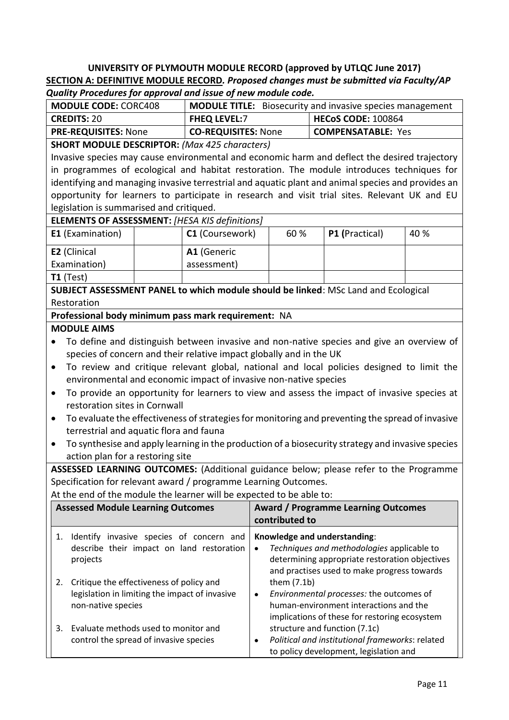| <b>MODULE CODE: CORC408</b> |                            | <b>MODULE TITLE:</b> Biosecurity and invasive species management |
|-----------------------------|----------------------------|------------------------------------------------------------------|
| <b>CREDITS:</b> 20          | <b>FHEQ LEVEL:7</b>        | <b>HECoS CODE: 100864</b>                                        |
| PRE-REQUISITES: None        | <b>CO-REQUISITES: None</b> | <b>COMPENSATABLE:</b> Yes                                        |

#### **SHORT MODULE DESCRIPTOR:** *(Max 425 characters)*

Invasive species may cause environmental and economic harm and deflect the desired trajectory in programmes of ecological and habitat restoration. The module introduces techniques for identifying and managing invasive terrestrial and aquatic plant and animal species and provides an opportunity for learners to participate in research and visit trial sites. Relevant UK and EU legislation is summarised and critiqued.

#### **ELEMENTS OF ASSESSMENT:** *[HESA KIS definitions]*

| <b>E1</b> (Examination) | C1 (Coursework) | 60 % | P1 (Practical) | 40 % |
|-------------------------|-----------------|------|----------------|------|
| <b>E2</b> (Clinical     | A1 (Generic     |      |                |      |
| Examination)            | assessment)     |      |                |      |
| $T1$ (Test)             |                 |      |                |      |

**SUBJECT ASSESSMENT PANEL to which module should be linked**: MSc Land and Ecological Restoration

#### **Professional body minimum pass mark requirement:** NA

#### **MODULE AIMS**

- To define and distinguish between invasive and non-native species and give an overview of species of concern and their relative impact globally and in the UK
- To review and critique relevant global, national and local policies designed to limit the environmental and economic impact of invasive non-native species
- To provide an opportunity for learners to view and assess the impact of invasive species at restoration sites in Cornwall
- To evaluate the effectiveness of strategies for monitoring and preventing the spread of invasive terrestrial and aquatic flora and fauna
- To synthesise and apply learning in the production of a biosecurity strategy and invasive species action plan for a restoring site

**ASSESSED LEARNING OUTCOMES:** (Additional guidance below; please refer to the Programme Specification for relevant award / programme Learning Outcomes.

|    | <b>Assessed Module Learning Outcomes</b>                                                                         | <b>Award / Programme Learning Outcomes</b><br>contributed to                                                                                                                             |
|----|------------------------------------------------------------------------------------------------------------------|------------------------------------------------------------------------------------------------------------------------------------------------------------------------------------------|
|    | Identify invasive species of concern and<br>describe their impact on land restoration<br>projects                | Knowledge and understanding:<br>Techniques and methodologies applicable to<br>$\bullet$<br>determining appropriate restoration objectives<br>and practises used to make progress towards |
| 2. | Critique the effectiveness of policy and<br>legislation in limiting the impact of invasive<br>non-native species | them $(7.1b)$<br>Environmental processes: the outcomes of<br>$\bullet$<br>human-environment interactions and the<br>implications of these for restoring ecosystem                        |
| 3. | Evaluate methods used to monitor and<br>control the spread of invasive species                                   | structure and function (7.1c)<br>Political and institutional frameworks: related<br>$\bullet$<br>to policy development, legislation and                                                  |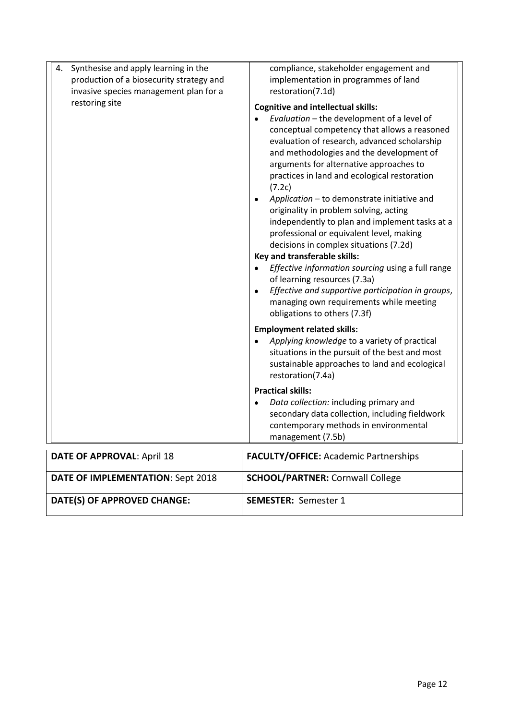| 4.                          | Synthesise and apply learning in the<br>production of a biosecurity strategy and<br>invasive species management plan for a<br>restoring site | compliance, stakeholder engagement and<br>implementation in programmes of land<br>restoration(7.1d)<br><b>Cognitive and intellectual skills:</b><br>Evaluation - the development of a level of<br>conceptual competency that allows a reasoned<br>evaluation of research, advanced scholarship<br>and methodologies and the development of<br>arguments for alternative approaches to<br>practices in land and ecological restoration<br>(7.2c)<br>Application - to demonstrate initiative and<br>originality in problem solving, acting<br>independently to plan and implement tasks at a<br>professional or equivalent level, making<br>decisions in complex situations (7.2d)<br>Key and transferable skills:<br>Effective information sourcing using a full range<br>of learning resources (7.3a)<br>Effective and supportive participation in groups,<br>managing own requirements while meeting |  |
|-----------------------------|----------------------------------------------------------------------------------------------------------------------------------------------|-------------------------------------------------------------------------------------------------------------------------------------------------------------------------------------------------------------------------------------------------------------------------------------------------------------------------------------------------------------------------------------------------------------------------------------------------------------------------------------------------------------------------------------------------------------------------------------------------------------------------------------------------------------------------------------------------------------------------------------------------------------------------------------------------------------------------------------------------------------------------------------------------------|--|
|                             |                                                                                                                                              | obligations to others (7.3f)<br><b>Employment related skills:</b><br>Applying knowledge to a variety of practical<br>situations in the pursuit of the best and most<br>sustainable approaches to land and ecological<br>restoration(7.4a)<br><b>Practical skills:</b>                                                                                                                                                                                                                                                                                                                                                                                                                                                                                                                                                                                                                                 |  |
|                             |                                                                                                                                              | Data collection: including primary and<br>secondary data collection, including fieldwork<br>contemporary methods in environmental<br>management (7.5b)                                                                                                                                                                                                                                                                                                                                                                                                                                                                                                                                                                                                                                                                                                                                                |  |
|                             | <b>DATE OF APPROVAL: April 18</b>                                                                                                            | <b>FACULTY/OFFICE: Academic Partnerships</b>                                                                                                                                                                                                                                                                                                                                                                                                                                                                                                                                                                                                                                                                                                                                                                                                                                                          |  |
|                             | DATE OF IMPLEMENTATION: Sept 2018                                                                                                            | <b>SCHOOL/PARTNER: Cornwall College</b>                                                                                                                                                                                                                                                                                                                                                                                                                                                                                                                                                                                                                                                                                                                                                                                                                                                               |  |
| DATE(S) OF APPROVED CHANGE: |                                                                                                                                              | <b>SEMESTER: Semester 1</b>                                                                                                                                                                                                                                                                                                                                                                                                                                                                                                                                                                                                                                                                                                                                                                                                                                                                           |  |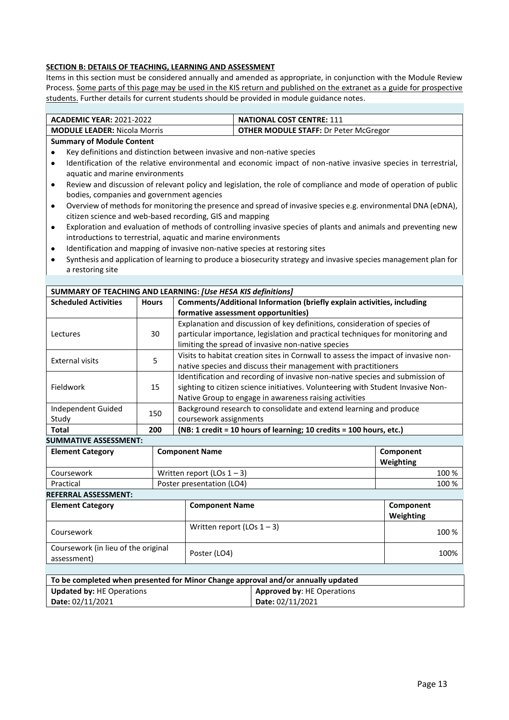Items in this section must be considered annually and amended as appropriate, in conjunction with the Module Review Process. Some parts of this page may be used in the KIS return and published on the extranet as a guide for prospective students. Further details for current students should be provided in module guidance notes.

| <b>ACADEMIC YEAR: 2021-2022</b>     | <b>NATIONAL COST CENTRE: 111</b>             |
|-------------------------------------|----------------------------------------------|
| <b>MODULE LEADER: Nicola Morris</b> | <b>OTHER MODULE STAFF: Dr Peter McGregor</b> |

**Summary of Module Content** 

- Key definitions and distinction between invasive and non-native species
- Identification of the relative environmental and economic impact of non-native invasive species in terrestrial, aquatic and marine environments
- Review and discussion of relevant policy and legislation, the role of compliance and mode of operation of public bodies, companies and government agencies
- Overview of methods for monitoring the presence and spread of invasive species e.g. environmental DNA (eDNA), citizen science and web-based recording, GIS and mapping
- Exploration and evaluation of methods of controlling invasive species of plants and animals and preventing new introductions to terrestrial, aquatic and marine environments
- Identification and mapping of invasive non-native species at restoring sites
- Synthesis and application of learning to produce a biosecurity strategy and invasive species management plan for a restoring site

#### **SUMMARY OF TEACHING AND LEARNING:** *[Use HESA KIS definitions]*

| <b>Scheduled Activities</b> | <b>Hours</b> | Comments/Additional Information (briefly explain activities, including             |
|-----------------------------|--------------|------------------------------------------------------------------------------------|
|                             |              | formative assessment opportunities)                                                |
|                             |              | Explanation and discussion of key definitions, consideration of species of         |
| Lectures                    | 30           | particular importance, legislation and practical techniques for monitoring and     |
|                             |              | limiting the spread of invasive non-native species                                 |
| <b>External visits</b>      | 5            | Visits to habitat creation sites in Cornwall to assess the impact of invasive non- |
|                             |              | native species and discuss their management with practitioners                     |
|                             | 15           | Identification and recording of invasive non-native species and submission of      |
| Fieldwork                   |              | sighting to citizen science initiatives. Volunteering with Student Invasive Non-   |
|                             |              | Native Group to engage in awareness raising activities                             |
| Independent Guided<br>150   |              | Background research to consolidate and extend learning and produce                 |
| Study                       |              | coursework assignments                                                             |
| <b>Total</b>                | 200          | (NB: 1 credit = 10 hours of learning; 10 credits = 100 hours, etc.)                |

#### **SUMMATIVE ASSESSMENT:**

| <b>Element Category</b> | <b>Component Name</b>         | Component<br>Weighting |
|-------------------------|-------------------------------|------------------------|
| Coursework              | Written report (LOs $1 - 3$ ) | 100 %                  |
| Practical               | Poster presentation (LO4)     | 100 %                  |
| DEEEDDAI ACCECCAMENT.   |                               |                        |

| <b>Element Category</b>                            | <b>Component Name</b>         | Component<br>Weighting |
|----------------------------------------------------|-------------------------------|------------------------|
| Coursework                                         | Written report (LOs $1 - 3$ ) | 100 %                  |
| Coursework (in lieu of the original<br>assessment) | Poster (LO4)                  | 100%                   |

| To be completed when presented for Minor Change approval and/or annually updated |                                   |  |  |
|----------------------------------------------------------------------------------|-----------------------------------|--|--|
| <b>Updated by: HE Operations</b>                                                 | <b>Approved by: HE Operations</b> |  |  |
| Date: $02/11/2021$                                                               | Date: 02/11/2021                  |  |  |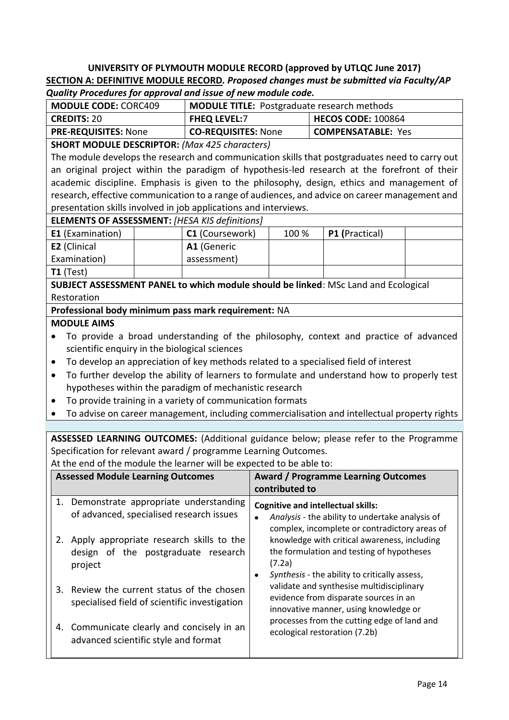| <b>MODULE CODE: CORC409</b> | <b>MODULE TITLE:</b> Postgraduate research methods |                           |  |
|-----------------------------|----------------------------------------------------|---------------------------|--|
| l <b>Credits:</b> 20        | <b>FHEQ LEVEL:7</b>                                | <b>HECOS CODE: 100864</b> |  |
| <b>PRE-REQUISITES: None</b> | <b>CO-REQUISITES: None</b>                         | <b>COMPENSATABLE: Yes</b> |  |

#### **SHORT MODULE DESCRIPTOR:** *(Max 425 characters)*

The module develops the research and communication skills that postgraduates need to carry out an original project within the paradigm of hypothesis-led research at the forefront of their academic discipline. Emphasis is given to the philosophy, design, ethics and management of research, effective communication to a range of audiences, and advice on career management and presentation skills involved in job applications and interviews.

#### **ELEMENTS OF ASSESSMENT:** *[HESA KIS definitions]*

| $\begin{array}{c} \texttt{LLE}(\texttt{VCE}, \texttt{VCE}, \texttt{VCE}, \texttt{VCE}, \texttt{VCE}, \texttt{VSE}, \texttt{VSE}, \texttt{VSE}, \texttt{VSE}, \texttt{VSE}, \texttt{VSE}, \texttt{VSE}, \texttt{VSE}, \texttt{VSE}, \texttt{VSE}, \texttt{VSE}, \texttt{VSE}, \texttt{VSE}, \texttt{VSE}, \texttt{VSE}, \texttt{VSE}, \texttt{VSE}, \texttt{VSE}, \texttt{VSE}, \texttt{VSE}, \texttt{VSE}, \texttt{VSE}, \texttt{VSE}, \texttt{VSE}, \texttt$ |  |                        |       |                |  |
|---------------------------------------------------------------------------------------------------------------------------------------------------------------------------------------------------------------------------------------------------------------------------------------------------------------------------------------------------------------------------------------------------------------------------------------------------------------|--|------------------------|-------|----------------|--|
| <b>E1</b> (Examination)                                                                                                                                                                                                                                                                                                                                                                                                                                       |  | <b>C1</b> (Coursework) | 100 % | P1 (Practical) |  |
| <b>E2</b> (Clinical                                                                                                                                                                                                                                                                                                                                                                                                                                           |  | A1 (Generic            |       |                |  |
| Examination)                                                                                                                                                                                                                                                                                                                                                                                                                                                  |  | assessment)            |       |                |  |
| $T1$ (Test)                                                                                                                                                                                                                                                                                                                                                                                                                                                   |  |                        |       |                |  |

**SUBJECT ASSESSMENT PANEL to which module should be linked**: MSc Land and Ecological Restoration

#### **Professional body minimum pass mark requirement:** NA

# **MODULE AIMS**

- To provide a broad understanding of the philosophy, context and practice of advanced scientific enquiry in the biological sciences
- To develop an appreciation of key methods related to a specialised field of interest
- To further develop the ability of learners to formulate and understand how to properly test hypotheses within the paradigm of mechanistic research
- To provide training in a variety of communication formats
- To advise on career management, including commercialisation and intellectual property rights

**ASSESSED LEARNING OUTCOMES:** (Additional guidance below; please refer to the Programme Specification for relevant award / programme Learning Outcomes.

| <b>Assessed Module Learning Outcomes</b> |                                                                                               | <b>Award / Programme Learning Outcomes</b>                                                                                                                                        |  |
|------------------------------------------|-----------------------------------------------------------------------------------------------|-----------------------------------------------------------------------------------------------------------------------------------------------------------------------------------|--|
|                                          |                                                                                               | contributed to                                                                                                                                                                    |  |
|                                          | 1. Demonstrate appropriate understanding<br>of advanced, specialised research issues          | <b>Cognitive and intellectual skills:</b><br>Analysis - the ability to undertake analysis of<br>٠<br>complex, incomplete or contradictory areas of                                |  |
|                                          | 2. Apply appropriate research skills to the<br>design of the postgraduate research<br>project | knowledge with critical awareness, including<br>the formulation and testing of hypotheses<br>(7.2a)                                                                               |  |
|                                          | 3. Review the current status of the chosen<br>specialised field of scientific investigation   | Synthesis - the ability to critically assess,<br>٠<br>validate and synthesise multidisciplinary<br>evidence from disparate sources in an<br>innovative manner, using knowledge or |  |
|                                          | 4. Communicate clearly and concisely in an<br>advanced scientific style and format            | processes from the cutting edge of land and<br>ecological restoration (7.2b)                                                                                                      |  |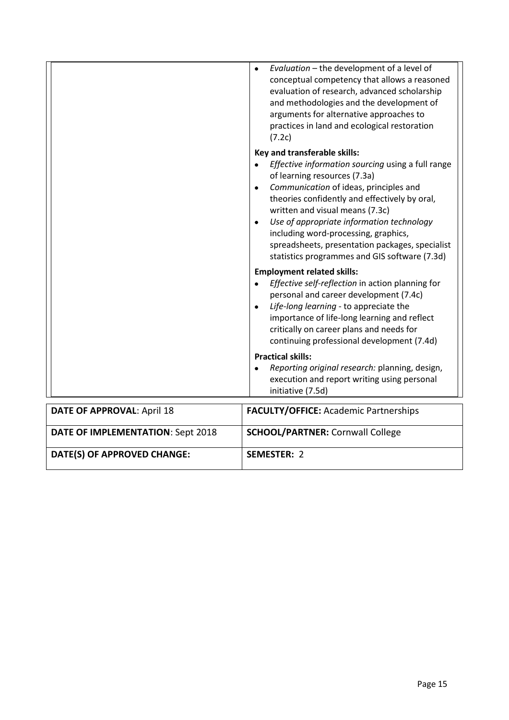|                                   | Evaluation - the development of a level of<br>conceptual competency that allows a reasoned<br>evaluation of research, advanced scholarship<br>and methodologies and the development of<br>arguments for alternative approaches to<br>practices in land and ecological restoration<br>(7.2c)<br>Key and transferable skills:                                                                                                        |
|-----------------------------------|------------------------------------------------------------------------------------------------------------------------------------------------------------------------------------------------------------------------------------------------------------------------------------------------------------------------------------------------------------------------------------------------------------------------------------|
|                                   | Effective information sourcing using a full range<br>of learning resources (7.3a)<br>Communication of ideas, principles and<br>$\bullet$<br>theories confidently and effectively by oral,<br>written and visual means (7.3c)<br>Use of appropriate information technology<br>$\bullet$<br>including word-processing, graphics,<br>spreadsheets, presentation packages, specialist<br>statistics programmes and GIS software (7.3d) |
|                                   | <b>Employment related skills:</b><br>Effective self-reflection in action planning for<br>personal and career development (7.4c)<br>Life-long learning - to appreciate the<br>$\bullet$<br>importance of life-long learning and reflect<br>critically on career plans and needs for<br>continuing professional development (7.4d)                                                                                                   |
|                                   | <b>Practical skills:</b><br>Reporting original research: planning, design,<br>execution and report writing using personal<br>initiative (7.5d)                                                                                                                                                                                                                                                                                     |
| <b>DATE OF APPROVAL: April 18</b> | FACULTY/OFFICE: Academic Partnerships                                                                                                                                                                                                                                                                                                                                                                                              |
| DATE OF IMPLEMENTATION: Sept 2018 | <b>SCHOOL/PARTNER: Cornwall College</b>                                                                                                                                                                                                                                                                                                                                                                                            |

**DATE(S) OF APPROVED CHANGE: SEMESTER:** 2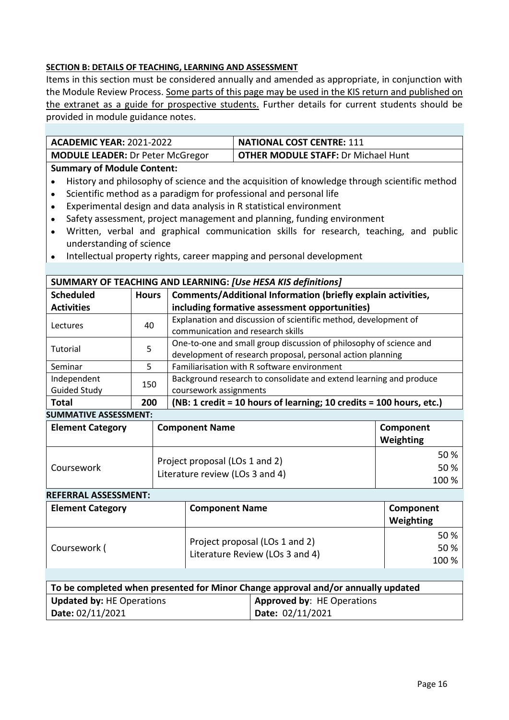Items in this section must be considered annually and amended as appropriate, in conjunction with the Module Review Process. Some parts of this page may be used in the KIS return and published on the extranet as a guide for prospective students. Further details for current students should be provided in module guidance notes.

| ACADEMIC YEAR: 2021-2022                | <b>NATIONAL COST CENTRE: 111</b>           |
|-----------------------------------------|--------------------------------------------|
| <b>MODULE LEADER:</b> Dr Peter McGregor | <b>OTHER MODULE STAFF: Dr Michael Hunt</b> |
|                                         |                                            |

#### **Summary of Module Content:**

- History and philosophy of science and the acquisition of knowledge through scientific method
- Scientific method as a paradigm for professional and personal life
- Experimental design and data analysis in R statistical environment
- Safety assessment, project management and planning, funding environment
- Written, verbal and graphical communication skills for research, teaching, and public understanding of science
- Intellectual property rights, career mapping and personal development

| SUMMARY OF TEACHING AND LEARNING: [Use HESA KIS definitions] |              |                                                                                                                                  |
|--------------------------------------------------------------|--------------|----------------------------------------------------------------------------------------------------------------------------------|
| <b>Scheduled</b>                                             | <b>Hours</b> | Comments/Additional Information (briefly explain activities,                                                                     |
| <b>Activities</b>                                            |              | including formative assessment opportunities)                                                                                    |
| Lectures                                                     | 40           | Explanation and discussion of scientific method, development of<br>communication and research skills                             |
| Tutorial                                                     | 5            | One-to-one and small group discussion of philosophy of science and<br>development of research proposal, personal action planning |
| Seminar                                                      | 5.           | Familiarisation with R software environment                                                                                      |
| Independent<br><b>Guided Study</b>                           | 150          | Background research to consolidate and extend learning and produce<br>coursework assignments                                     |
| <b>Total</b>                                                 | 200          | (NB: 1 credit = 10 hours of learning; 10 credits = 100 hours, etc.)                                                              |

**SUMMATIVE ASSESSMENT:**

| <b>Element Category</b> | <b>Component Name</b>           | Component<br>Weighting |
|-------------------------|---------------------------------|------------------------|
| Coursework              | Project proposal (LOs 1 and 2)  | 50 %<br>50 %           |
|                         | Literature review (LOs 3 and 4) | 100 %                  |

#### **REFERRAL ASSESSMENT:**

| <b>Element Category</b> | <b>Component Name</b>           | Component<br>Weighting |
|-------------------------|---------------------------------|------------------------|
|                         | Project proposal (LOs 1 and 2)  | 50 %                   |
| Coursework (            | Literature Review (LOs 3 and 4) | 50 %                   |
|                         |                                 | 100 %                  |

| To be completed when presented for Minor Change approval and/or annually updated |                                   |  |  |
|----------------------------------------------------------------------------------|-----------------------------------|--|--|
| Updated by: HE Operations                                                        | <b>Approved by: HE Operations</b> |  |  |
| Date: 02/11/2021                                                                 | $\blacksquare$ Date: 02/11/2021   |  |  |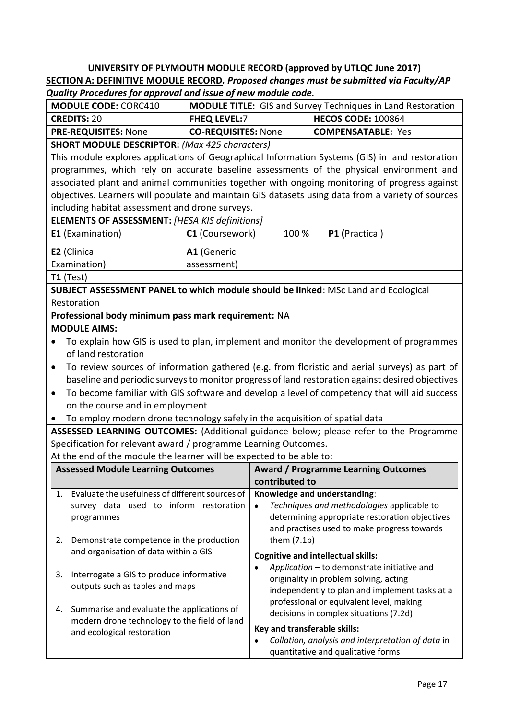| <b>MODULE CODE: CORC410</b> | <b>MODULE TITLE:</b> GIS and Survey Techniques in Land Restoration |                           |  |
|-----------------------------|--------------------------------------------------------------------|---------------------------|--|
| CREDITS: 20                 | <b>HECOS CODE: 100864</b><br><b>FHEQ LEVEL:7</b>                   |                           |  |
| PRE-REQUISITES: None        | <b>CO-REQUISITES: None</b>                                         | <b>COMPENSATABLE: Yes</b> |  |

#### **SHORT MODULE DESCRIPTOR:** *(Max 425 characters)*

This module explores applications of Geographical Information Systems (GIS) in land restoration programmes, which rely on accurate baseline assessments of the physical environment and associated plant and animal communities together with ongoing monitoring of progress against objectives. Learners will populate and maintain GIS datasets using data from a variety of sources including habitat assessment and drone surveys.

#### **ELEMENTS OF ASSESSMENT:** *[HESA KIS definitions]*

| <b>LLLIVILIVIS OF ASSESSIVILIVI</b> . THESA NIS UCHINGOIST |  |                        |       |                       |  |
|------------------------------------------------------------|--|------------------------|-------|-----------------------|--|
| <b>E1</b> (Examination)                                    |  | <b>C1</b> (Coursework) | 100 % | <b>P1 (Practical)</b> |  |
| <b>E2</b> (Clinical                                        |  | A1 (Generic            |       |                       |  |
| Examination)                                               |  | assessment)            |       |                       |  |
| $T1$ (Test)                                                |  |                        |       |                       |  |

**SUBJECT ASSESSMENT PANEL to which module should be linked**: MSc Land and Ecological Restoration

# **Professional body minimum pass mark requirement:** NA

# **MODULE AIMS:**

- To explain how GIS is used to plan, implement and monitor the development of programmes of land restoration
- To review sources of information gathered (e.g. from floristic and aerial surveys) as part of baseline and periodic surveys to monitor progress of land restoration against desired objectives
- To become familiar with GIS software and develop a level of competency that will aid success on the course and in employment
- To employ modern drone technology safely in the acquisition of spatial data

**ASSESSED LEARNING OUTCOMES:** (Additional guidance below; please refer to the Programme Specification for relevant award / programme Learning Outcomes.

|                                       | <b>Assessed Module Learning Outcomes</b>                                                   | <b>Award / Programme Learning Outcomes</b>                                                   |  |  |
|---------------------------------------|--------------------------------------------------------------------------------------------|----------------------------------------------------------------------------------------------|--|--|
|                                       |                                                                                            | contributed to                                                                               |  |  |
| $\mathbf{1}$ .                        | Evaluate the usefulness of different sources of                                            | Knowledge and understanding:                                                                 |  |  |
|                                       | survey data used to inform restoration                                                     | Techniques and methodologies applicable to<br>determining appropriate restoration objectives |  |  |
|                                       | programmes                                                                                 | and practises used to make progress towards                                                  |  |  |
| 2.                                    | Demonstrate competence in the production                                                   | them $(7.1b)$                                                                                |  |  |
| and organisation of data within a GIS |                                                                                            | <b>Cognitive and intellectual skills:</b>                                                    |  |  |
| 3.                                    | Interrogate a GIS to produce informative                                                   | Application - to demonstrate initiative and                                                  |  |  |
|                                       | outputs such as tables and maps                                                            | originality in problem solving, acting<br>independently to plan and implement tasks at a     |  |  |
|                                       |                                                                                            | professional or equivalent level, making                                                     |  |  |
| 4.                                    | Summarise and evaluate the applications of<br>modern drone technology to the field of land | decisions in complex situations (7.2d)                                                       |  |  |
|                                       | and ecological restoration                                                                 | Key and transferable skills:                                                                 |  |  |
|                                       |                                                                                            | Collation, analysis and interpretation of data in                                            |  |  |
|                                       |                                                                                            | quantitative and qualitative forms                                                           |  |  |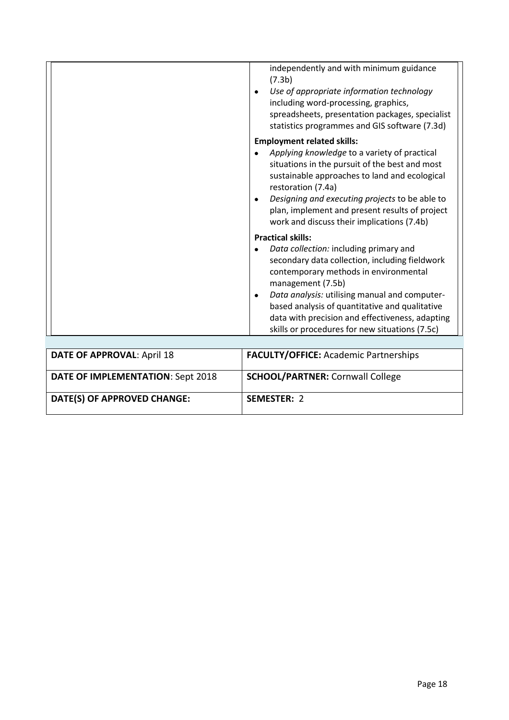| independently and with minimum guidance<br>(7.3b)<br>Use of appropriate information technology<br>including word-processing, graphics,<br>spreadsheets, presentation packages, specialist<br>statistics programmes and GIS software (7.3d)                                                                                                                                                      |
|-------------------------------------------------------------------------------------------------------------------------------------------------------------------------------------------------------------------------------------------------------------------------------------------------------------------------------------------------------------------------------------------------|
| <b>Employment related skills:</b><br>Applying knowledge to a variety of practical<br>situations in the pursuit of the best and most<br>sustainable approaches to land and ecological<br>restoration (7.4a)<br>Designing and executing projects to be able to<br>٠<br>plan, implement and present results of project<br>work and discuss their implications (7.4b)                               |
| <b>Practical skills:</b><br>Data collection: including primary and<br>secondary data collection, including fieldwork<br>contemporary methods in environmental<br>management (7.5b)<br>Data analysis: utilising manual and computer-<br>٠<br>based analysis of quantitative and qualitative<br>data with precision and effectiveness, adapting<br>skills or procedures for new situations (7.5c) |

| <b>DATE OF APPROVAL: April 18</b> | <b>FACULTY/OFFICE: Academic Partnerships</b> |
|-----------------------------------|----------------------------------------------|
| DATE OF IMPLEMENTATION: Sept 2018 | <b>SCHOOL/PARTNER: Cornwall College</b>      |
| DATE(S) OF APPROVED CHANGE:       | <b>SEMESTER: 2</b>                           |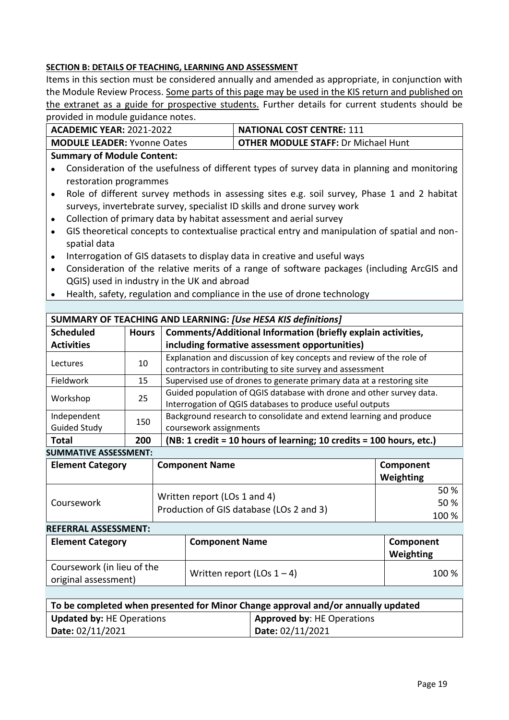Items in this section must be considered annually and amended as appropriate, in conjunction with the Module Review Process. Some parts of this page may be used in the KIS return and published on the extranet as a guide for prospective students. Further details for current students should be provided in module guidance notes.

| ACADEMIC YEAR: 2021-2022    | <b>NATIONAL COST CENTRE: 111</b>    |
|-----------------------------|-------------------------------------|
| MODULE LEADER: Yvonne Oates | OTHER MODULE STAFF: Dr Michael Hunt |

# **Summary of Module Content:**

- Consideration of the usefulness of different types of survey data in planning and monitoring restoration programmes
- Role of different survey methods in assessing sites e.g. soil survey, Phase 1 and 2 habitat surveys, invertebrate survey, specialist ID skills and drone survey work
- Collection of primary data by habitat assessment and aerial survey
- GIS theoretical concepts to contextualise practical entry and manipulation of spatial and nonspatial data
- Interrogation of GIS datasets to display data in creative and useful ways
- Consideration of the relative merits of a range of software packages (including ArcGIS and QGIS) used in industry in the UK and abroad
- Health, safety, regulation and compliance in the use of drone technology

|                     | SUMMARY OF TEACHING AND LEARNING: [Use HESA KIS definitions] |                                                                       |  |
|---------------------|--------------------------------------------------------------|-----------------------------------------------------------------------|--|
| <b>Scheduled</b>    | <b>Hours</b>                                                 | Comments/Additional Information (briefly explain activities,          |  |
| <b>Activities</b>   |                                                              | including formative assessment opportunities)                         |  |
| Lectures            | 10                                                           | Explanation and discussion of key concepts and review of the role of  |  |
|                     |                                                              | contractors in contributing to site survey and assessment             |  |
| Fieldwork           | 15                                                           | Supervised use of drones to generate primary data at a restoring site |  |
| 25                  |                                                              | Guided population of QGIS database with drone and other survey data.  |  |
| Workshop            |                                                              | Interrogation of QGIS databases to produce useful outputs             |  |
| Independent         | 150                                                          | Background research to consolidate and extend learning and produce    |  |
| <b>Guided Study</b> |                                                              | coursework assignments                                                |  |
| <b>Total</b>        | 200                                                          | (NB: 1 credit = 10 hours of learning; 10 credits = 100 hours, etc.)   |  |

#### **SUMMATIVE ASSESSMENT:**

| <b>Element Category</b> | <b>Component Name</b>                    | Component |
|-------------------------|------------------------------------------|-----------|
|                         |                                          | Weighting |
|                         | Written report (LOs 1 and 4)             | 50 %      |
| Coursework              | Production of GIS database (LOs 2 and 3) | 50 %      |
|                         |                                          | 100%      |

# **REFERRAL ASSESSMENT:**

| <b>Element Category</b>                            | <b>Component Name</b>         | Component<br>Weighting |
|----------------------------------------------------|-------------------------------|------------------------|
| Coursework (in lieu of the<br>original assessment) | Written report (LOs $1 - 4$ ) | 100 %                  |

| To be completed when presented for Minor Change approval and/or annually updated |                                   |  |
|----------------------------------------------------------------------------------|-----------------------------------|--|
| Updated by: HE Operations                                                        | <b>Approved by: HE Operations</b> |  |
| Date: 02/11/2021                                                                 | Date: 02/11/2021                  |  |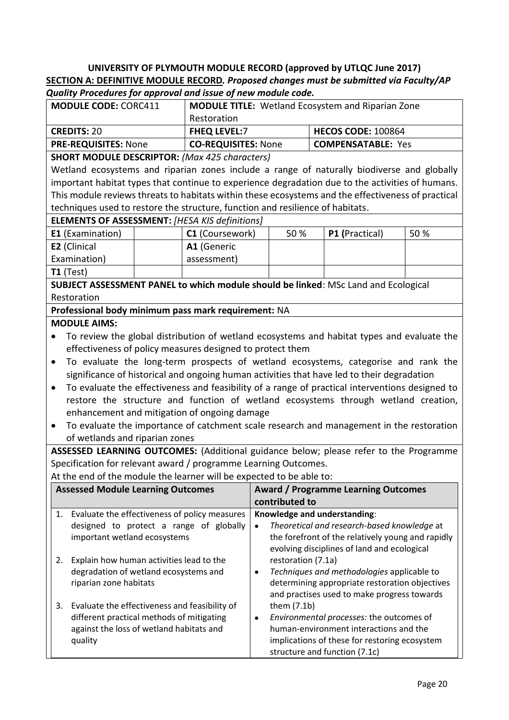| <b>MODULE CODE: CORC411</b> | <b>MODULE TITLE:</b> Wetland Ecosystem and Riparian Zone |                           |  |
|-----------------------------|----------------------------------------------------------|---------------------------|--|
|                             | Restoration                                              |                           |  |
| <b>CREDITS: 20</b>          | <b>FHEQ LEVEL:7</b>                                      | <b>HECOS CODE: 100864</b> |  |
| <b>PRE-REQUISITES: None</b> | <b>CO-REQUISITES: None</b>                               | <b>COMPENSATABLE: Yes</b> |  |
|                             |                                                          |                           |  |

**SHORT MODULE DESCRIPTOR:** *(Max 425 characters)*

Wetland ecosystems and riparian zones include a range of naturally biodiverse and globally important habitat types that continue to experience degradation due to the activities of humans. This module reviews threats to habitats within these ecosystems and the effectiveness of practical techniques used to restore the structure, function and resilience of habitats.

| <b>ELEMENTS OF ASSESSMENT:</b> [HESA KIS definitions] |  |                        |      |                       |      |
|-------------------------------------------------------|--|------------------------|------|-----------------------|------|
| <b>E1</b> (Examination)                               |  | <b>C1</b> (Coursework) | 50 % | <b>P1 (Practical)</b> | 50 % |
| <b>E2</b> (Clinical                                   |  | A1 (Generic            |      |                       |      |
| Examination)                                          |  | assessment)            |      |                       |      |
| $\mathsf{T1}$ (Test)                                  |  |                        |      |                       |      |

**SUBJECT ASSESSMENT PANEL to which module should be linked**: MSc Land and Ecological Restoration

**Professional body minimum pass mark requirement:** NA

# **MODULE AIMS:**

- To review the global distribution of wetland ecosystems and habitat types and evaluate the effectiveness of policy measures designed to protect them
- To evaluate the long-term prospects of wetland ecosystems, categorise and rank the significance of historical and ongoing human activities that have led to their degradation
- To evaluate the effectiveness and feasibility of a range of practical interventions designed to restore the structure and function of wetland ecosystems through wetland creation, enhancement and mitigation of ongoing damage
- To evaluate the importance of catchment scale research and management in the restoration of wetlands and riparian zones

**ASSESSED LEARNING OUTCOMES:** (Additional guidance below; please refer to the Programme Specification for relevant award / programme Learning Outcomes.

| <b>Assessed Module Learning Outcomes</b> |                                               | <b>Award / Programme Learning Outcomes</b>                                                       |
|------------------------------------------|-----------------------------------------------|--------------------------------------------------------------------------------------------------|
|                                          |                                               | contributed to                                                                                   |
| 1.                                       | Evaluate the effectiveness of policy measures | Knowledge and understanding:                                                                     |
|                                          | designed to protect a range of globally       | Theoretical and research-based knowledge at                                                      |
|                                          | important wetland ecosystems                  | the forefront of the relatively young and rapidly<br>evolving disciplines of land and ecological |
| 2.                                       | Explain how human activities lead to the      | restoration (7.1a)                                                                               |
|                                          | degradation of wetland ecosystems and         | Techniques and methodologies applicable to<br>$\bullet$                                          |
|                                          | riparian zone habitats                        | determining appropriate restoration objectives                                                   |
|                                          |                                               | and practises used to make progress towards                                                      |
| 3.                                       | Evaluate the effectiveness and feasibility of | them $(7.1b)$                                                                                    |
|                                          | different practical methods of mitigating     | Environmental processes: the outcomes of<br>$\bullet$                                            |
|                                          | against the loss of wetland habitats and      | human-environment interactions and the                                                           |
|                                          | quality                                       | implications of these for restoring ecosystem                                                    |
|                                          |                                               | structure and function (7.1c)                                                                    |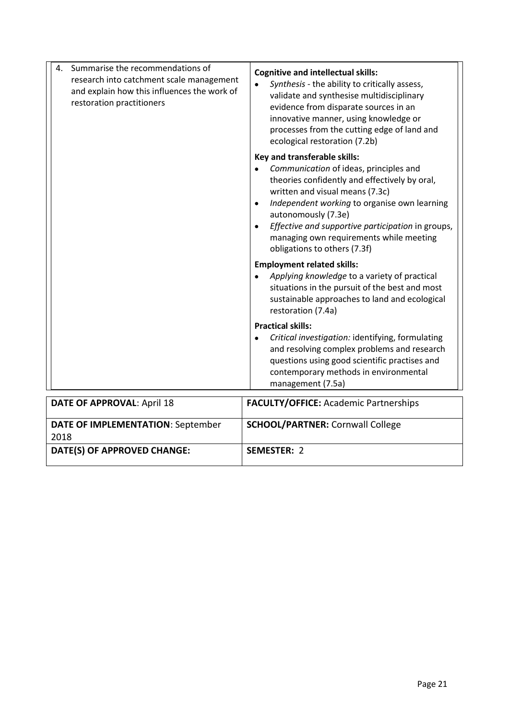| Summarise the recommendations of<br>4.<br>research into catchment scale management<br>and explain how this influences the work of<br>restoration practitioners | <b>Cognitive and intellectual skills:</b><br>Synthesis - the ability to critically assess,<br>validate and synthesise multidisciplinary<br>evidence from disparate sources in an<br>innovative manner, using knowledge or<br>processes from the cutting edge of land and<br>ecological restoration (7.2b)                                                                                   |
|----------------------------------------------------------------------------------------------------------------------------------------------------------------|---------------------------------------------------------------------------------------------------------------------------------------------------------------------------------------------------------------------------------------------------------------------------------------------------------------------------------------------------------------------------------------------|
|                                                                                                                                                                | Key and transferable skills:<br>Communication of ideas, principles and<br>theories confidently and effectively by oral,<br>written and visual means (7.3c)<br>Independent working to organise own learning<br>$\bullet$<br>autonomously (7.3e)<br>Effective and supportive participation in groups,<br>$\bullet$<br>managing own requirements while meeting<br>obligations to others (7.3f) |
|                                                                                                                                                                | <b>Employment related skills:</b><br>Applying knowledge to a variety of practical<br>situations in the pursuit of the best and most<br>sustainable approaches to land and ecological<br>restoration (7.4a)                                                                                                                                                                                  |
|                                                                                                                                                                | <b>Practical skills:</b><br>Critical investigation: identifying, formulating<br>and resolving complex problems and research<br>questions using good scientific practises and<br>contemporary methods in environmental<br>management (7.5a)                                                                                                                                                  |
| <b>DATE OF APPROVAL: April 18</b>                                                                                                                              | <b>FACULTY/OFFICE: Academic Partnerships</b>                                                                                                                                                                                                                                                                                                                                                |
| DATE OF IMPLEMENTATION: September<br>2018                                                                                                                      | <b>SCHOOL/PARTNER: Cornwall College</b>                                                                                                                                                                                                                                                                                                                                                     |

**DATE(S) OF APPROVED CHANGE: SEMESTER:** 2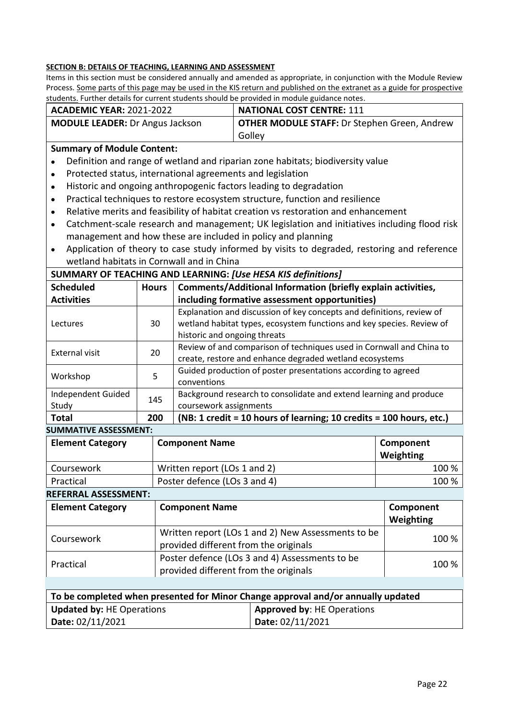Items in this section must be considered annually and amended as appropriate, in conjunction with the Module Review Process. Some parts of this page may be used in the KIS return and published on the extranet as a guide for prospective students. Further details for current students should be provided in module guidance notes.

| ACADEMIC YEAR: 2021-2022               | NATIONAL COST CENTRE: 111                           |
|----------------------------------------|-----------------------------------------------------|
| <b>MODULE LEADER:</b> Dr Angus Jackson | <b>OTHER MODULE STAFF:</b> Dr Stephen Green, Andrew |
|                                        | Golley                                              |

### **Summary of Module Content:**

- Definition and range of wetland and riparian zone habitats; biodiversity value
- Protected status, international agreements and legislation
- Historic and ongoing anthropogenic factors leading to degradation
- Practical techniques to restore ecosystem structure, function and resilience
- Relative merits and feasibility of habitat creation vs restoration and enhancement
- Catchment-scale research and management; UK legislation and initiatives including flood risk management and how these are included in policy and planning
- Application of theory to case study informed by visits to degraded, restoring and reference wetland habitats in Cornwall and in China

| SUMMARY OF TEACHING AND LEARNING: [Use HESA KIS definitions] |  |  |
|--------------------------------------------------------------|--|--|
|--------------------------------------------------------------|--|--|

| <b>Scheduled</b><br><b>Hours</b> |     | Comments/Additional Information (briefly explain activities,                                                                                                                   |
|----------------------------------|-----|--------------------------------------------------------------------------------------------------------------------------------------------------------------------------------|
| <b>Activities</b>                |     | including formative assessment opportunities)                                                                                                                                  |
| Lectures                         | 30  | Explanation and discussion of key concepts and definitions, review of<br>wetland habitat types, ecosystem functions and key species. Review of<br>historic and ongoing threats |
| <b>External visit</b>            | 20  | Review of and comparison of techniques used in Cornwall and China to<br>create, restore and enhance degraded wetland ecosystems                                                |
| Workshop                         | 5   | Guided production of poster presentations according to agreed<br>conventions                                                                                                   |
| Independent Guided<br>Study      | 145 | Background research to consolidate and extend learning and produce<br>coursework assignments                                                                                   |
| <b>Total</b><br>200              |     | (NB: 1 credit = 10 hours of learning; 10 credits = 100 hours, etc.)                                                                                                            |

#### **SUMMATIVE ASSESSMENT:**

| <b>Element Category</b><br><b>Component Name</b> |                              | Component<br>Weighting |
|--------------------------------------------------|------------------------------|------------------------|
| Coursework                                       | Written report (LOs 1 and 2) | 100 %                  |
| Practical                                        | Poster defence (LOs 3 and 4) | 100 %                  |

**REFERRAL ASSESSMENT:**

| <b>Element Category</b> | <b>Component Name</b>                                                                       | Component<br>Weighting |
|-------------------------|---------------------------------------------------------------------------------------------|------------------------|
| Coursework              | Written report (LOs 1 and 2) New Assessments to be<br>provided different from the originals | 100 %                  |
| Practical               | Poster defence (LOs 3 and 4) Assessments to be<br>provided different from the originals     | 100 %                  |

| To be completed when presented for Minor Change approval and/or annually updated |                                   |  |
|----------------------------------------------------------------------------------|-----------------------------------|--|
| <b>Updated by: HE Operations</b>                                                 | <b>Approved by: HE Operations</b> |  |
| Date: 02/11/2021                                                                 | Date: 02/11/2021                  |  |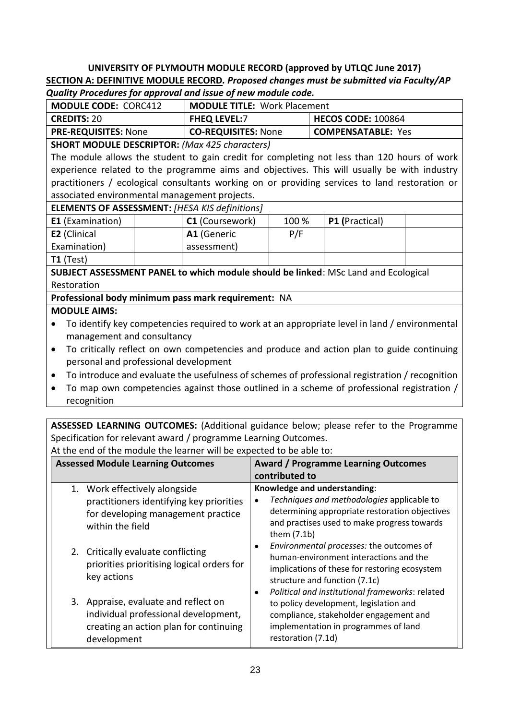| <b>MODULE CODE: CORC412</b>                                                            |                                     |  |
|----------------------------------------------------------------------------------------|-------------------------------------|--|
|                                                                                        | <b>MODULE TITLE: Work Placement</b> |  |
| <b>FHEQ LEVEL:7</b><br><b>HECOS CODE: 100864</b><br><b>CREDITS: 20</b>                 |                                     |  |
| <b>CO-REQUISITES: None</b><br><b>COMPENSATABLE: Yes</b><br><b>PRE-REQUISITES: None</b> |                                     |  |

#### **SHORT MODULE DESCRIPTOR:** *(Max 425 characters)*

The module allows the student to gain credit for completing not less than 120 hours of work experience related to the programme aims and objectives. This will usually be with industry practitioners / ecological consultants working on or providing services to land restoration or associated environmental management projects.

#### **ELEMENTS OF ASSESSMENT:** *[HESA KIS definitions]*

| <b>E1</b> (Examination) | <b>C1</b> (Coursework) | 100 % | P1 (Practical) |  |
|-------------------------|------------------------|-------|----------------|--|
| <b>E2</b> (Clinical     | A1 (Generic            | P/F   |                |  |
| Examination)            | assessment)            |       |                |  |
| $T1$ (Test)             |                        |       |                |  |

**SUBJECT ASSESSMENT PANEL to which module should be linked**: MSc Land and Ecological Restoration

**Professional body minimum pass mark requirement:** NA

# **MODULE AIMS:**

- To identify key competencies required to work at an appropriate level in land / environmental management and consultancy
- To critically reflect on own competencies and produce and action plan to guide continuing personal and professional development
- To introduce and evaluate the usefulness of schemes of professional registration / recognition
- To map own competencies against those outlined in a scheme of professional registration / recognition

**ASSESSED LEARNING OUTCOMES:** (Additional guidance below; please refer to the Programme Specification for relevant award / programme Learning Outcomes.

| <b>Assessed Module Learning Outcomes</b>                                                                                              | <b>Award / Programme Learning Outcomes</b><br>contributed to                                                                                                                                      |
|---------------------------------------------------------------------------------------------------------------------------------------|---------------------------------------------------------------------------------------------------------------------------------------------------------------------------------------------------|
| 1. Work effectively alongside<br>practitioners identifying key priorities<br>for developing management practice<br>within the field   | Knowledge and understanding:<br>Techniques and methodologies applicable to<br>determining appropriate restoration objectives<br>and practises used to make progress towards<br>them $(7.1b)$      |
| 2. Critically evaluate conflicting<br>priorities prioritising logical orders for<br>key actions                                       | Environmental processes: the outcomes of<br>human-environment interactions and the<br>implications of these for restoring ecosystem<br>structure and function (7.1c)                              |
| 3. Appraise, evaluate and reflect on<br>individual professional development,<br>creating an action plan for continuing<br>development | Political and institutional frameworks: related<br>to policy development, legislation and<br>compliance, stakeholder engagement and<br>implementation in programmes of land<br>restoration (7.1d) |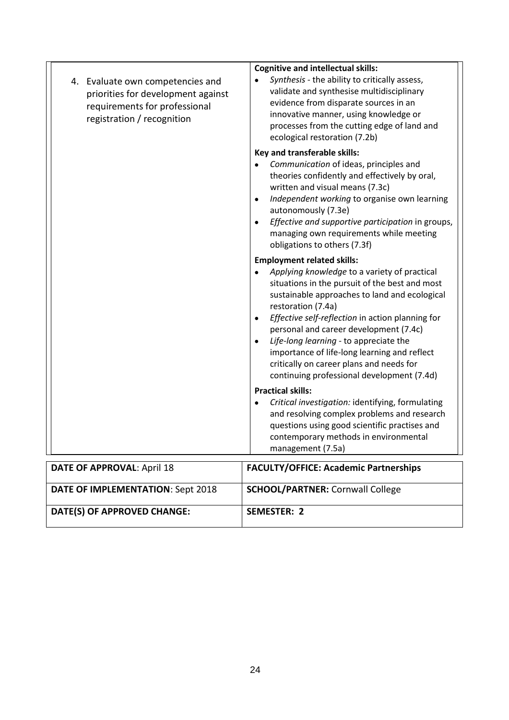| 4. Evaluate own competencies and<br>priorities for development against<br>requirements for professional<br>registration / recognition | <b>Cognitive and intellectual skills:</b><br>Synthesis - the ability to critically assess,<br>validate and synthesise multidisciplinary<br>evidence from disparate sources in an<br>innovative manner, using knowledge or<br>processes from the cutting edge of land and<br>ecological restoration (7.2b)                                                                                                                                                                                         |
|---------------------------------------------------------------------------------------------------------------------------------------|---------------------------------------------------------------------------------------------------------------------------------------------------------------------------------------------------------------------------------------------------------------------------------------------------------------------------------------------------------------------------------------------------------------------------------------------------------------------------------------------------|
|                                                                                                                                       | Key and transferable skills:<br>Communication of ideas, principles and<br>theories confidently and effectively by oral,<br>written and visual means (7.3c)<br>Independent working to organise own learning<br>٠<br>autonomously (7.3e)<br>Effective and supportive participation in groups,<br>managing own requirements while meeting<br>obligations to others (7.3f)                                                                                                                            |
|                                                                                                                                       | <b>Employment related skills:</b><br>Applying knowledge to a variety of practical<br>situations in the pursuit of the best and most<br>sustainable approaches to land and ecological<br>restoration (7.4a)<br>Effective self-reflection in action planning for<br>٠<br>personal and career development (7.4c)<br>Life-long learning - to appreciate the<br>importance of life-long learning and reflect<br>critically on career plans and needs for<br>continuing professional development (7.4d) |
|                                                                                                                                       | <b>Practical skills:</b><br>Critical investigation: identifying, formulating<br>and resolving complex problems and research<br>questions using good scientific practises and<br>contemporary methods in environmental<br>management (7.5a)                                                                                                                                                                                                                                                        |
| <b>DATE OF APPROVAL: April 18</b>                                                                                                     | <b>FACULTY/OFFICE: Academic Partnerships</b>                                                                                                                                                                                                                                                                                                                                                                                                                                                      |
| DATE OF IMPLEMENTATION: Sept 2018                                                                                                     | <b>SCHOOL/PARTNER: Cornwall College</b>                                                                                                                                                                                                                                                                                                                                                                                                                                                           |
| DATE(S) OF APPROVED CHANGE:                                                                                                           | <b>SEMESTER: 2</b>                                                                                                                                                                                                                                                                                                                                                                                                                                                                                |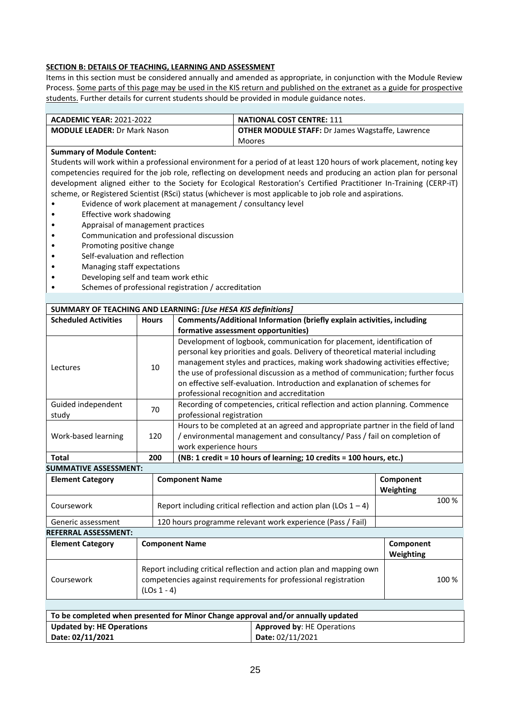Items in this section must be considered annually and amended as appropriate, in conjunction with the Module Review Process. Some parts of this page may be used in the KIS return and published on the extranet as a guide for prospective students. Further details for current students should be provided in module guidance notes.

| ACADEMIC YEAR: 2021-2022            | <b>NATIONAL COST CENTRE: 111</b>                        |
|-------------------------------------|---------------------------------------------------------|
| <b>MODULE LEADER: Dr Mark Nason</b> | <b>OTHER MODULE STAFF:</b> Dr James Wagstaffe, Lawrence |
|                                     | Moores                                                  |

#### **Summary of Module Content:**

Students will work within a professional environment for a period of at least 120 hours of work placement, noting key competencies required for the job role, reflecting on development needs and producing an action plan for personal development aligned either to the Society for Ecological Restoration's Certified Practitioner In-Training (CERP-iT) scheme, or Registered Scientist (RSci) status (whichever is most applicable to job role and aspirations.

- Evidence of work placement at management / consultancy level
- Effective work shadowing
- Appraisal of management practices
- Communication and professional discussion
- Promoting positive change
- Self-evaluation and reflection
- Managing staff expectations
- Developing self and team work ethic
- Schemes of professional registration / accreditation

| SUMMARY OF TEACHING AND LEARNING: [Use HESA KIS definitions] |              |                                                                                                                                                                                                                                                                                                                                                                                                                                                      |  |
|--------------------------------------------------------------|--------------|------------------------------------------------------------------------------------------------------------------------------------------------------------------------------------------------------------------------------------------------------------------------------------------------------------------------------------------------------------------------------------------------------------------------------------------------------|--|
| <b>Scheduled Activities</b>                                  | <b>Hours</b> | Comments/Additional Information (briefly explain activities, including                                                                                                                                                                                                                                                                                                                                                                               |  |
|                                                              |              | formative assessment opportunities)                                                                                                                                                                                                                                                                                                                                                                                                                  |  |
| Lectures                                                     | 10           | Development of logbook, communication for placement, identification of<br>personal key priorities and goals. Delivery of theoretical material including<br>management styles and practices, making work shadowing activities effective;<br>the use of professional discussion as a method of communication; further focus<br>on effective self-evaluation. Introduction and explanation of schemes for<br>professional recognition and accreditation |  |
| Guided independent<br>study                                  | 70           | Recording of competencies, critical reflection and action planning. Commence<br>professional registration                                                                                                                                                                                                                                                                                                                                            |  |
| Work-based learning                                          | 120          | Hours to be completed at an agreed and appropriate partner in the field of land<br>'environmental management and consultancy/ Pass / fail on completion of<br>work experience hours                                                                                                                                                                                                                                                                  |  |
| <b>Total</b>                                                 | 200          | (NB: 1 credit = 10 hours of learning; 10 credits = 100 hours, etc.)                                                                                                                                                                                                                                                                                                                                                                                  |  |

#### **SUMMATIVE ASSESSMENT:**

| <b>Element Category</b> | <b>Component Name</b>                                               | Component<br>Weighting |
|-------------------------|---------------------------------------------------------------------|------------------------|
| Coursework              | Report including critical reflection and action plan (LOs $1 - 4$ ) | 100 %                  |
| Generic assessment      | 120 hours programme relevant work experience (Pass / Fail)          |                        |
| DEEEDDAI ACCECCNAENT.   |                                                                     |                        |

| <b>Element Category</b> | <b>Component Name</b>                                                                                                                                    | Component<br>Weighting |
|-------------------------|----------------------------------------------------------------------------------------------------------------------------------------------------------|------------------------|
| Coursework              | Report including critical reflection and action plan and mapping own<br>competencies against requirements for professional registration<br>$(LOS 1 - 4)$ | 100 %                  |

| To be completed when presented for Minor Change approval and/or annually updated |                                   |  |
|----------------------------------------------------------------------------------|-----------------------------------|--|
| <b>Updated by: HE Operations</b>                                                 | <b>Approved by: HE Operations</b> |  |
| Date: 02/11/2021                                                                 | Date: 02/11/2021                  |  |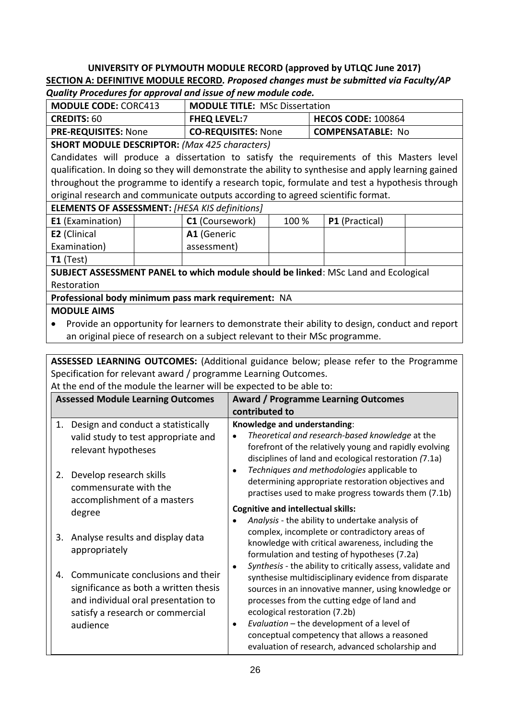| <b>MODULE CODE: CORC413</b> | <b>MODULE TITLE: MSc Dissertation</b> |                           |
|-----------------------------|---------------------------------------|---------------------------|
| <b>CREDITS: 60</b>          | <b>FHEQ LEVEL:7</b>                   | <b>HECOS CODE: 100864</b> |
| <b>PRE-REQUISITES: None</b> | <b>CO-REQUISITES: None</b>            | <b>COMPENSATABLE: No</b>  |

**SHORT MODULE DESCRIPTOR:** *(Max 425 characters)*

Candidates will produce a dissertation to satisfy the requirements of this Masters level qualification. In doing so they will demonstrate the ability to synthesise and apply learning gained throughout the programme to identify a research topic, formulate and test a hypothesis through original research and communicate outputs according to agreed scientific format.

**ELEMENTS OF ASSESSMENT:** *[HESA KIS definitions]*

| <b>E1</b> (Examination) | <b>C1</b> (Coursework) | 100 % | <b>P1</b> (Practical) |  |
|-------------------------|------------------------|-------|-----------------------|--|
| <b>E2</b> (Clinical     | A1 (Generic            |       |                       |  |
| Examination)            | assessment)            |       |                       |  |
| $T1$ (Test)             |                        |       |                       |  |

**SUBJECT ASSESSMENT PANEL to which module should be linked**: MSc Land and Ecological Restoration

**Professional body minimum pass mark requirement:** NA

# **MODULE AIMS**

• Provide an opportunity for learners to demonstrate their ability to design, conduct and report an original piece of research on a subject relevant to their MSc programme.

**ASSESSED LEARNING OUTCOMES:** (Additional guidance below; please refer to the Programme Specification for relevant award / programme Learning Outcomes.

|    | <b>Assessed Module Learning Outcomes</b>                                                                                                                          | <b>Award / Programme Learning Outcomes</b><br>contributed to                                                                                                                                                                                                                                                                                                                                                          |
|----|-------------------------------------------------------------------------------------------------------------------------------------------------------------------|-----------------------------------------------------------------------------------------------------------------------------------------------------------------------------------------------------------------------------------------------------------------------------------------------------------------------------------------------------------------------------------------------------------------------|
| 1. | Design and conduct a statistically<br>valid study to test appropriate and<br>relevant hypotheses                                                                  | Knowledge and understanding:<br>Theoretical and research-based knowledge at the<br>forefront of the relatively young and rapidly evolving<br>disciplines of land and ecological restoration (7.1a)                                                                                                                                                                                                                    |
| 2. | Develop research skills<br>commensurate with the<br>accomplishment of a masters                                                                                   | Techniques and methodologies applicable to<br>٠<br>determining appropriate restoration objectives and<br>practises used to make progress towards them (7.1b)                                                                                                                                                                                                                                                          |
|    | degree                                                                                                                                                            | <b>Cognitive and intellectual skills:</b><br>Analysis - the ability to undertake analysis of                                                                                                                                                                                                                                                                                                                          |
| 3. | Analyse results and display data<br>appropriately                                                                                                                 | complex, incomplete or contradictory areas of<br>knowledge with critical awareness, including the<br>formulation and testing of hypotheses (7.2a)                                                                                                                                                                                                                                                                     |
| 4. | Communicate conclusions and their<br>significance as both a written thesis<br>and individual oral presentation to<br>satisfy a research or commercial<br>audience | Synthesis - the ability to critically assess, validate and<br>٠<br>synthesise multidisciplinary evidence from disparate<br>sources in an innovative manner, using knowledge or<br>processes from the cutting edge of land and<br>ecological restoration (7.2b)<br>Evaluation – the development of a level of<br>٠<br>conceptual competency that allows a reasoned<br>evaluation of research, advanced scholarship and |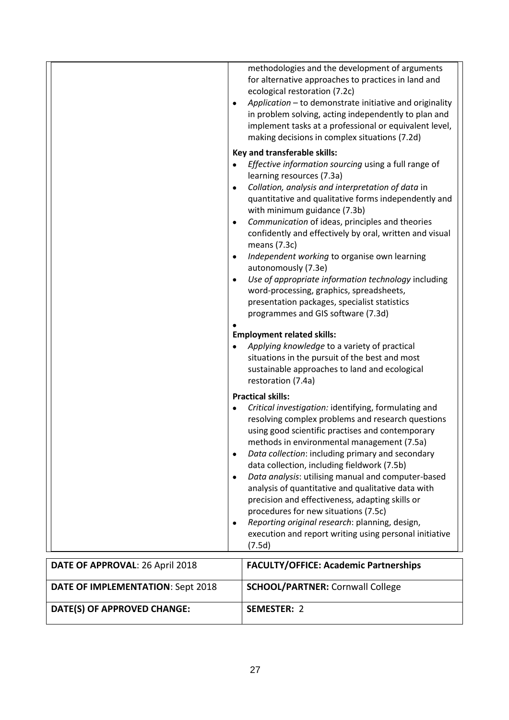|                                 | $\bullet$<br>$\bullet$<br>$\bullet$<br>٠<br>$\bullet$ | methodologies and the development of arguments<br>for alternative approaches to practices in land and<br>ecological restoration (7.2c)<br>Application - to demonstrate initiative and originality<br>in problem solving, acting independently to plan and<br>implement tasks at a professional or equivalent level,<br>making decisions in complex situations (7.2d)<br>Key and transferable skills:<br>Effective information sourcing using a full range of<br>learning resources (7.3a)<br>Collation, analysis and interpretation of data in<br>quantitative and qualitative forms independently and<br>with minimum guidance (7.3b)<br>Communication of ideas, principles and theories<br>confidently and effectively by oral, written and visual<br>means $(7.3c)$<br>Independent working to organise own learning<br>autonomously (7.3e)<br>Use of appropriate information technology including<br>word-processing, graphics, spreadsheets,<br>presentation packages, specialist statistics<br>programmes and GIS software (7.3d)<br><b>Employment related skills:</b><br>Applying knowledge to a variety of practical<br>situations in the pursuit of the best and most<br>sustainable approaches to land and ecological<br>restoration (7.4a) |
|---------------------------------|-------------------------------------------------------|------------------------------------------------------------------------------------------------------------------------------------------------------------------------------------------------------------------------------------------------------------------------------------------------------------------------------------------------------------------------------------------------------------------------------------------------------------------------------------------------------------------------------------------------------------------------------------------------------------------------------------------------------------------------------------------------------------------------------------------------------------------------------------------------------------------------------------------------------------------------------------------------------------------------------------------------------------------------------------------------------------------------------------------------------------------------------------------------------------------------------------------------------------------------------------------------------------------------------------------------------|
|                                 | $\bullet$<br>$\bullet$<br>٠                           | <b>Practical skills:</b><br>Critical investigation: identifying, formulating and<br>resolving complex problems and research questions<br>using good scientific practises and contemporary<br>methods in environmental management (7.5a)<br>Data collection: including primary and secondary<br>data collection, including fieldwork (7.5b)<br>Data analysis: utilising manual and computer-based<br>analysis of quantitative and qualitative data with<br>precision and effectiveness, adapting skills or<br>procedures for new situations (7.5c)<br>Reporting original research: planning, design,<br>execution and report writing using personal initiative<br>(7.5d)                                                                                                                                                                                                                                                                                                                                                                                                                                                                                                                                                                              |
| DATE OF APPROVAL: 26 April 2018 |                                                       | <b>FACULTY/OFFICE: Academic Partnerships</b>                                                                                                                                                                                                                                                                                                                                                                                                                                                                                                                                                                                                                                                                                                                                                                                                                                                                                                                                                                                                                                                                                                                                                                                                         |

| DATE OF APPROVAL: 26 April 2018   | <b>FACULTY/OFFICE: Academic Partnerships</b> |
|-----------------------------------|----------------------------------------------|
| DATE OF IMPLEMENTATION: Sept 2018 | <b>SCHOOL/PARTNER: Cornwall College</b>      |
| DATE(S) OF APPROVED CHANGE:       | <b>SEMESTER: 2</b>                           |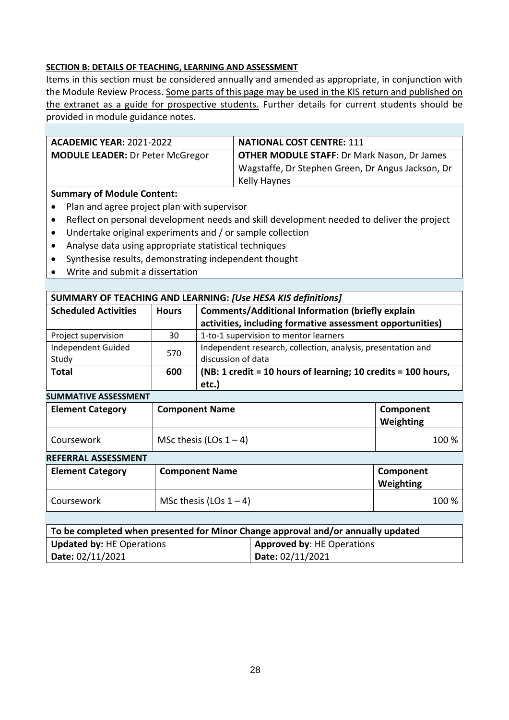Items in this section must be considered annually and amended as appropriate, in conjunction with the Module Review Process. Some parts of this page may be used in the KIS return and published on the extranet as a guide for prospective students. Further details for current students should be provided in module guidance notes.

| <b>ACADEMIC YEAR: 2021-2022</b>         | <b>NATIONAL COST CENTRE: 111</b>                                                                                               |
|-----------------------------------------|--------------------------------------------------------------------------------------------------------------------------------|
| <b>MODULE LEADER: Dr Peter McGregor</b> | <b>OTHER MODULE STAFF: Dr Mark Nason, Dr James</b><br>Wagstaffe, Dr Stephen Green, Dr Angus Jackson, Dr<br><b>Kelly Haynes</b> |
|                                         |                                                                                                                                |

# **Summary of Module Content:**

- Plan and agree project plan with supervisor
- Reflect on personal development needs and skill development needed to deliver the project
- Undertake original experiments and / or sample collection
- Analyse data using appropriate statistical techniques
- Synthesise results, demonstrating independent thought
- Write and submit a dissertation

| SUMMARY OF TEACHING AND LEARNING: [Use HESA KIS definitions] |              |                                                               |  |
|--------------------------------------------------------------|--------------|---------------------------------------------------------------|--|
| <b>Scheduled Activities</b>                                  | <b>Hours</b> | <b>Comments/Additional Information (briefly explain</b>       |  |
|                                                              |              | activities, including formative assessment opportunities)     |  |
| Project supervision                                          | 30           | 1-to-1 supervision to mentor learners                         |  |
| Independent Guided                                           | 570          | Independent research, collection, analysis, presentation and  |  |
| Study                                                        |              | discussion of data                                            |  |
| <b>Total</b>                                                 | 600          | (NB: 1 credit = 10 hours of learning; 10 credits = 100 hours, |  |
|                                                              |              | etc.)                                                         |  |
| <b>SUMMATIVE ASSESSMENT</b>                                  |              |                                                               |  |

| BUIVINIA II VL ABBL BIVILIVII |                           |                        |  |  |  |
|-------------------------------|---------------------------|------------------------|--|--|--|
| <b>Element Category</b>       | <b>Component Name</b>     | Component<br>Weighting |  |  |  |
| Coursework                    | MSc thesis (LOs $1 - 4$ ) | 100 %                  |  |  |  |
| <b>REFERRAL ASSESSMENT</b>    |                           |                        |  |  |  |
| <b>Element Category</b>       | <b>Component Name</b>     | Component<br>Weighting |  |  |  |
| Coursework                    | MSc thesis (LOs $1 - 4$ ) | 100 %                  |  |  |  |

| To be completed when presented for Minor Change approval and/or annually updated |                                   |  |  |
|----------------------------------------------------------------------------------|-----------------------------------|--|--|
| Updated by: HE Operations                                                        | <b>Approved by: HE Operations</b> |  |  |
| Date: 02/11/2021                                                                 | Date: 02/11/2021                  |  |  |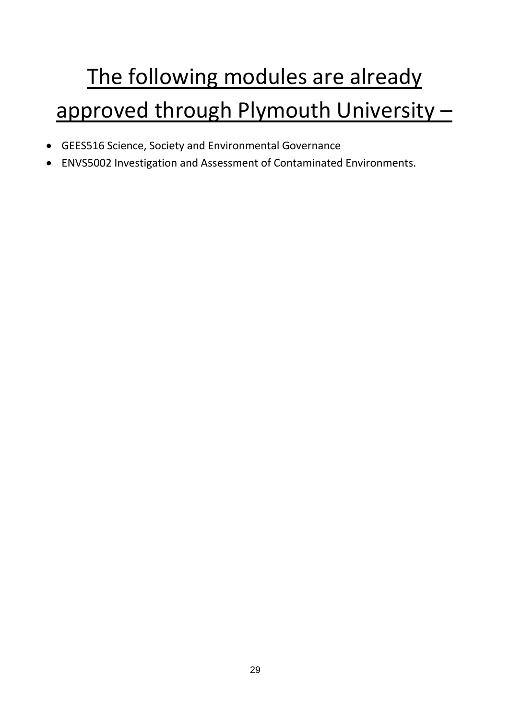# The following modules are already approved through Plymouth University –

- GEES516 Science, Society and Environmental Governance
- ENVS5002 Investigation and Assessment of Contaminated Environments.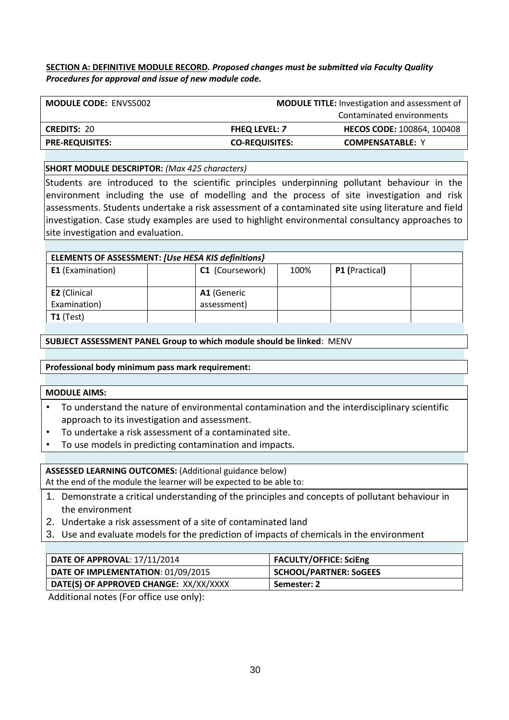#### **SECTION A: DEFINITIVE MODULE RECORD***. Proposed changes must be submitted via Faculty Quality Procedures for approval and issue of new module code.*

| <b>MODULE CODE: ENVS5002</b> | <b>MODULE TITLE:</b> Investigation and assessment of |                                   |  |
|------------------------------|------------------------------------------------------|-----------------------------------|--|
|                              |                                                      | Contaminated environments         |  |
| <b>CREDITS: 20</b>           | <b>FHEQ LEVEL: 7</b>                                 | <b>HECOS CODE: 100864, 100408</b> |  |
| <b>PRE-REQUISITES:</b>       | <b>CO-REQUISITES:</b>                                | <b>COMPENSATABLE: Y</b>           |  |

#### **SHORT MODULE DESCRIPTOR:** *(Max 425 characters)*

Students are introduced to the scientific principles underpinning pollutant behaviour in the environment including the use of modelling and the process of site investigation and risk assessments. Students undertake a risk assessment of a contaminated site using literature and field investigation. Case study examples are used to highlight environmental consultancy approaches to site investigation and evaluation.

| ELEMENTS OF ASSESSMENT: [Use HESA KIS definitions] |             |                |  |  |  |
|----------------------------------------------------|-------------|----------------|--|--|--|
| C1 (Coursework)                                    | 100%        | P1 (Practical) |  |  |  |
|                                                    |             |                |  |  |  |
| A1 (Generic                                        |             |                |  |  |  |
|                                                    |             |                |  |  |  |
| $T1$ (Test)                                        |             |                |  |  |  |
|                                                    | assessment) |                |  |  |  |

**SUBJECT ASSESSMENT PANEL Group to which module should be linked**: MENV

#### **Professional body minimum pass mark requirement:**

#### **MODULE AIMS:**

- To understand the nature of environmental contamination and the interdisciplinary scientific approach to its investigation and assessment.
- To undertake a risk assessment of a contaminated site.
- To use models in predicting contamination and impacts.

**ASSESSED LEARNING OUTCOMES:** (Additional guidance below)

At the end of the module the learner will be expected to be able to:

- 1. Demonstrate a critical understanding of the principles and concepts of pollutant behaviour in the environment
- 2. Undertake a risk assessment of a site of contaminated land
- 3. Use and evaluate models for the prediction of impacts of chemicals in the environment

| <b>DATE OF APPROVAL: 17/11/2014</b>    | <b>FACULTY/OFFICE: SciEng</b> |
|----------------------------------------|-------------------------------|
| DATE OF IMPLEMENTATION: 01/09/2015     | <b>SCHOOL/PARTNER: SOGEES</b> |
| DATE(S) OF APPROVED CHANGE: XX/XX/XXXX | Semester: 2                   |

Additional notes (For office use only):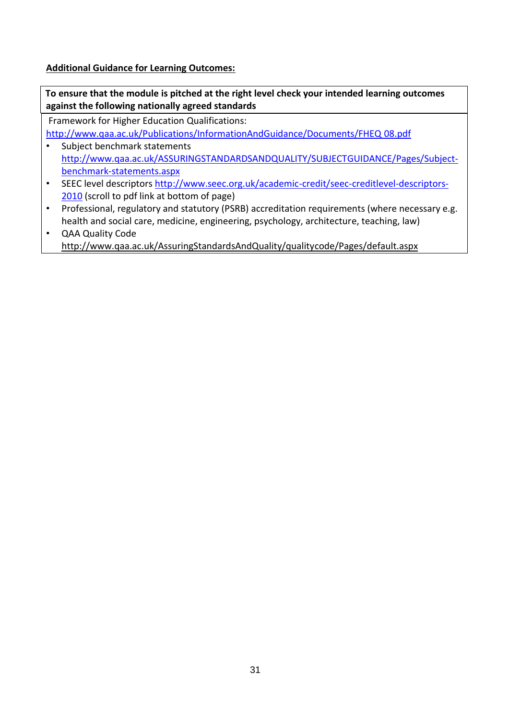**Additional Guidance for Learning Outcomes:**

**To ensure that the module is pitched at the right level check your intended learning outcomes against the following nationally agreed standards** 

Framework for Higher Education Qualifications:

[http://www.qaa.ac.uk/Publications/InformationAndGuidance/Documents/FHEQ 08.pdf](http://www.qaa.ac.uk/Publications/InformationAndGuidance/Documents/FHEQ08.pdf)

- Subject benchmark statements [http://www.qaa.ac.uk/ASSURINGSTANDARDSANDQUALITY/SUBJECTGUIDANCE/Pages/Subject](http://www.qaa.ac.uk/ASSURINGSTANDARDSANDQUALITY/SUBJECT-GUIDANCE/Pages/Subject-benchmark-statements.aspx)[benchmark-statements.aspx](http://www.qaa.ac.uk/ASSURINGSTANDARDSANDQUALITY/SUBJECT-GUIDANCE/Pages/Subject-benchmark-statements.aspx)
- SEEC level descriptors [http://www.seec.org.uk/academic-credit/seec-creditlevel-descriptors-](http://www.seec.org.uk/academic-credit/seec-credit-level-descriptors-2010)[2010](http://www.seec.org.uk/academic-credit/seec-credit-level-descriptors-2010) (scroll to pdf link at bottom of page)
- Professional, regulatory and statutory (PSRB) accreditation requirements (where necessary e.g. health and social care, medicine, engineering, psychology, architecture, teaching, law)
- QAA Quality Code [http://www.qaa.ac.uk/AssuringStandardsAndQuality/qualitycode/Pages/default.aspx](http://www.qaa.ac.uk/AssuringStandardsAndQuality/quality-code/Pages/default.aspx)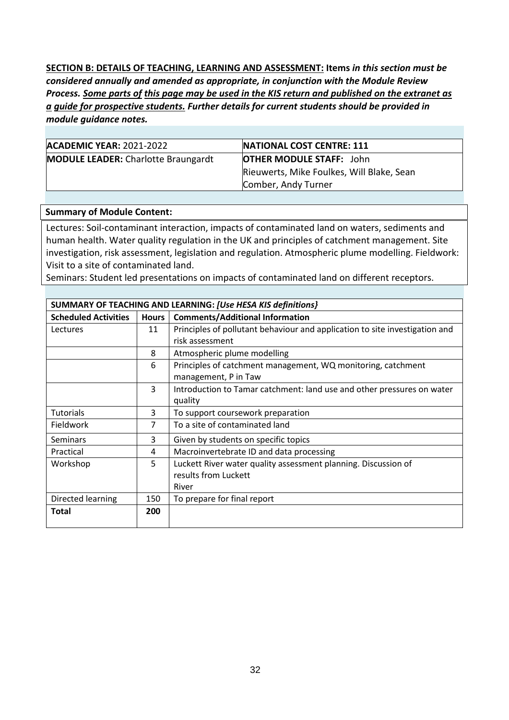**SECTION B: DETAILS OF TEACHING, LEARNING AND ASSESSMENT: Items** *in this section must be considered annually and amended as appropriate, in conjunction with the Module Review Process. Some parts of this page may be used in the KIS return and published on the extranet as a guide for prospective students. Further details for current students should be provided in module guidance notes.* 

| <b>ACADEMIC YEAR: 2021-2022</b>            | NATIONAL COST CENTRE: 111                 |
|--------------------------------------------|-------------------------------------------|
| <b>MODULE LEADER:</b> Charlotte Braungardt | <b>OTHER MODULE STAFF: John</b>           |
|                                            | Rieuwerts, Mike Foulkes, Will Blake, Sean |
|                                            | Comber, Andy Turner                       |

#### **Summary of Module Content:**

Lectures: Soil-contaminant interaction, impacts of contaminated land on waters, sediments and human health. Water quality regulation in the UK and principles of catchment management. Site investigation, risk assessment, legislation and regulation. Atmospheric plume modelling. Fieldwork: Visit to a site of contaminated land.

Seminars: Student led presentations on impacts of contaminated land on different receptors.

| SUMMARY OF TEACHING AND LEARNING: [Use HESA KIS definitions] |              |                                                                             |  |  |
|--------------------------------------------------------------|--------------|-----------------------------------------------------------------------------|--|--|
| <b>Scheduled Activities</b>                                  | <b>Hours</b> | <b>Comments/Additional Information</b>                                      |  |  |
| Lectures                                                     | 11           | Principles of pollutant behaviour and application to site investigation and |  |  |
|                                                              |              | risk assessment                                                             |  |  |
|                                                              | 8            | Atmospheric plume modelling                                                 |  |  |
|                                                              | 6            | Principles of catchment management, WQ monitoring, catchment                |  |  |
|                                                              |              | management, P in Taw                                                        |  |  |
|                                                              | 3            | Introduction to Tamar catchment: land use and other pressures on water      |  |  |
|                                                              |              | quality                                                                     |  |  |
| <b>Tutorials</b>                                             | 3            | To support coursework preparation                                           |  |  |
| Fieldwork                                                    | 7            | To a site of contaminated land                                              |  |  |
| <b>Seminars</b>                                              | 3            | Given by students on specific topics                                        |  |  |
| Practical                                                    | 4            | Macroinvertebrate ID and data processing                                    |  |  |
| Workshop                                                     | 5            | Luckett River water quality assessment planning. Discussion of              |  |  |
|                                                              |              | results from Luckett                                                        |  |  |
|                                                              |              | River                                                                       |  |  |
| Directed learning                                            | 150          | To prepare for final report                                                 |  |  |
| <b>Total</b>                                                 | 200          |                                                                             |  |  |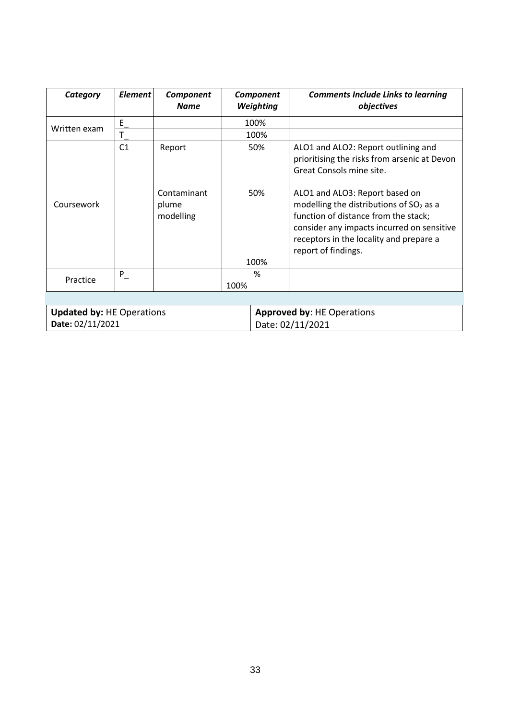| Category                                                                   | <b>Element</b> | Component<br><b>Name</b>                    | Component<br>Weighting |            | <b>Comments Include Links to learning</b><br>objectives                                                                                                                                                                                                                                                                                                |
|----------------------------------------------------------------------------|----------------|---------------------------------------------|------------------------|------------|--------------------------------------------------------------------------------------------------------------------------------------------------------------------------------------------------------------------------------------------------------------------------------------------------------------------------------------------------------|
|                                                                            | E.             |                                             |                        | 100%       |                                                                                                                                                                                                                                                                                                                                                        |
| Written exam                                                               | T.             |                                             |                        | 100%       |                                                                                                                                                                                                                                                                                                                                                        |
| Coursework                                                                 | C <sub>1</sub> | Report<br>Contaminant<br>plume<br>modelling |                        | 50%<br>50% | ALO1 and ALO2: Report outlining and<br>prioritising the risks from arsenic at Devon<br>Great Consols mine site.<br>ALO1 and ALO3: Report based on<br>modelling the distributions of $SO2$ as a<br>function of distance from the stack;<br>consider any impacts incurred on sensitive<br>receptors in the locality and prepare a<br>report of findings. |
|                                                                            |                |                                             |                        | 100%       |                                                                                                                                                                                                                                                                                                                                                        |
| Practice                                                                   | $P_{-}$        |                                             |                        | %          |                                                                                                                                                                                                                                                                                                                                                        |
|                                                                            |                |                                             | 100%                   |            |                                                                                                                                                                                                                                                                                                                                                        |
|                                                                            |                |                                             |                        |            |                                                                                                                                                                                                                                                                                                                                                        |
| $\mathbf{H}$ . The set of the set of $\mathbf{A}$ is a set of $\mathbf{A}$ |                |                                             |                        |            | A decomposition of the $\alpha$ decompositions                                                                                                                                                                                                                                                                                                         |

| Updated by: HE Operations | <b>Approved by: HE Operations</b> |
|---------------------------|-----------------------------------|
| Date: 02/11/2021          | Date: 02/11/2021                  |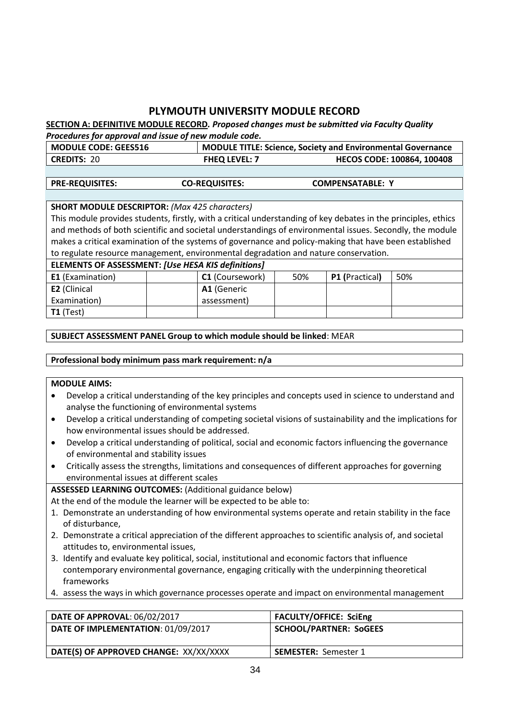# **PLYMOUTH UNIVERSITY MODULE RECORD**

#### **SECTION A: DEFINITIVE MODULE RECORD***. Proposed changes must be submitted via Faculty Quality Procedures for approval and issue of new module code.*

| <b>MODULE CODE: GEES516</b> |                      | <b>MODULE TITLE: Science, Society and Environmental Governance</b> |
|-----------------------------|----------------------|--------------------------------------------------------------------|
| l <b>Credits:</b> 20        | <b>FHEQ LEVEL: 7</b> | <b>HECOS CODE: 100864, 100408</b>                                  |

| <b>PRE-REQUISITES:</b> | <b>CO-REQUISITES:</b> | <b>COMPENSATABLE: Y</b> |
|------------------------|-----------------------|-------------------------|

#### **SHORT MODULE DESCRIPTOR:** *(Max 425 characters)*

This module provides students, firstly, with a critical understanding of key debates in the principles, ethics and methods of both scientific and societal understandings of environmental issues. Secondly, the module makes a critical examination of the systems of governance and policy-making that have been established to regulate resource management, environmental degradation and nature conservation.

| <b>ELEMENTS OF ASSESSMENT: [Use HESA KIS definitions]</b> |                    |                 |     |                |     |  |
|-----------------------------------------------------------|--------------------|-----------------|-----|----------------|-----|--|
| <b>E1</b> (Examination)                                   |                    | C1 (Coursework) | 50% | P1 (Practical) | 50% |  |
| <b>E2</b> (Clinical                                       | <b>A1</b> (Generic |                 |     |                |     |  |
| Examination)                                              |                    | assessment)     |     |                |     |  |
| $T1$ (Test)                                               |                    |                 |     |                |     |  |
|                                                           |                    |                 |     |                |     |  |

#### **SUBJECT ASSESSMENT PANEL Group to which module should be linked**: MEAR

#### **Professional body minimum pass mark requirement: n/a**

#### **MODULE AIMS:**

- Develop a critical understanding of the key principles and concepts used in science to understand and analyse the functioning of environmental systems
- Develop a critical understanding of competing societal visions of sustainability and the implications for how environmental issues should be addressed.
- Develop a critical understanding of political, social and economic factors influencing the governance of environmental and stability issues
- Critically assess the strengths, limitations and consequences of different approaches for governing environmental issues at different scales

**ASSESSED LEARNING OUTCOMES:** (Additional guidance below)

- 1. Demonstrate an understanding of how environmental systems operate and retain stability in the face of disturbance,
- 2. Demonstrate a critical appreciation of the different approaches to scientific analysis of, and societal attitudes to, environmental issues,
- 3. Identify and evaluate key political, social, institutional and economic factors that influence contemporary environmental governance, engaging critically with the underpinning theoretical frameworks
- 4. assess the ways in which governance processes operate and impact on environmental management

| <b>DATE OF APPROVAL: 06/02/2017</b>    | <b>FACULTY/OFFICE: SciEng</b> |
|----------------------------------------|-------------------------------|
| DATE OF IMPLEMENTATION: 01/09/2017     | <b>SCHOOL/PARTNER: SOGEES</b> |
| DATE(S) OF APPROVED CHANGE: XX/XX/XXXX | <b>SEMESTER: Semester 1</b>   |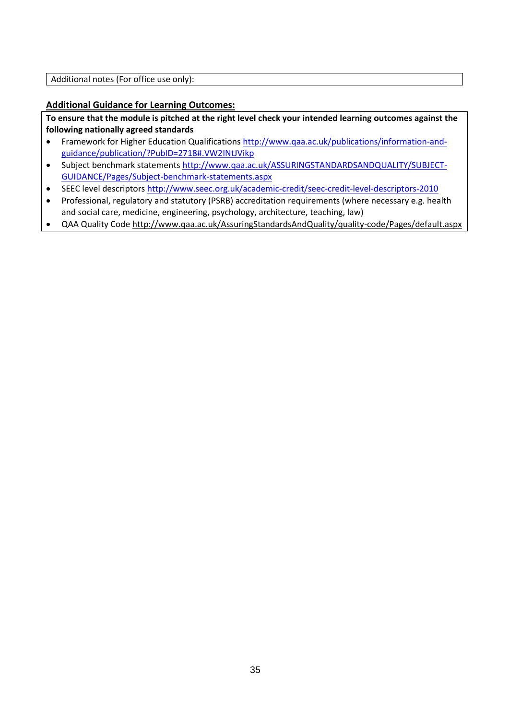Additional notes (For office use only):

### **Additional Guidance for Learning Outcomes:**

**To ensure that the module is pitched at the right level check your intended learning outcomes against the following nationally agreed standards** 

- Framework for Higher Education Qualifications [http://www.qaa.ac.uk/publications/information-and](http://www.qaa.ac.uk/publications/information-and-guidance/publication/?PubID=2718#.VW2INtJVikp)[guidance/publication/?PubID=2718#.VW2INtJVikp](http://www.qaa.ac.uk/publications/information-and-guidance/publication/?PubID=2718#.VW2INtJVikp)
- Subject benchmark statements [http://www.qaa.ac.uk/ASSURINGSTANDARDSANDQUALITY/SUBJECT-](http://www.qaa.ac.uk/ASSURINGSTANDARDSANDQUALITY/SUBJECT-GUIDANCE/Pages/Subject-benchmark-statements.aspx)[GUIDANCE/Pages/Subject-benchmark-statements.aspx](http://www.qaa.ac.uk/ASSURINGSTANDARDSANDQUALITY/SUBJECT-GUIDANCE/Pages/Subject-benchmark-statements.aspx)
- SEEC level descriptors<http://www.seec.org.uk/academic-credit/seec-credit-level-descriptors-2010>
- Professional, regulatory and statutory (PSRB) accreditation requirements (where necessary e.g. health and social care, medicine, engineering, psychology, architecture, teaching, law)
- QAA Quality Cod[e http://www.qaa.ac.uk/AssuringStandardsAndQuality/quality-code/Pages/default.aspx](http://www.qaa.ac.uk/AssuringStandardsAndQuality/quality-code/Pages/default.aspx)